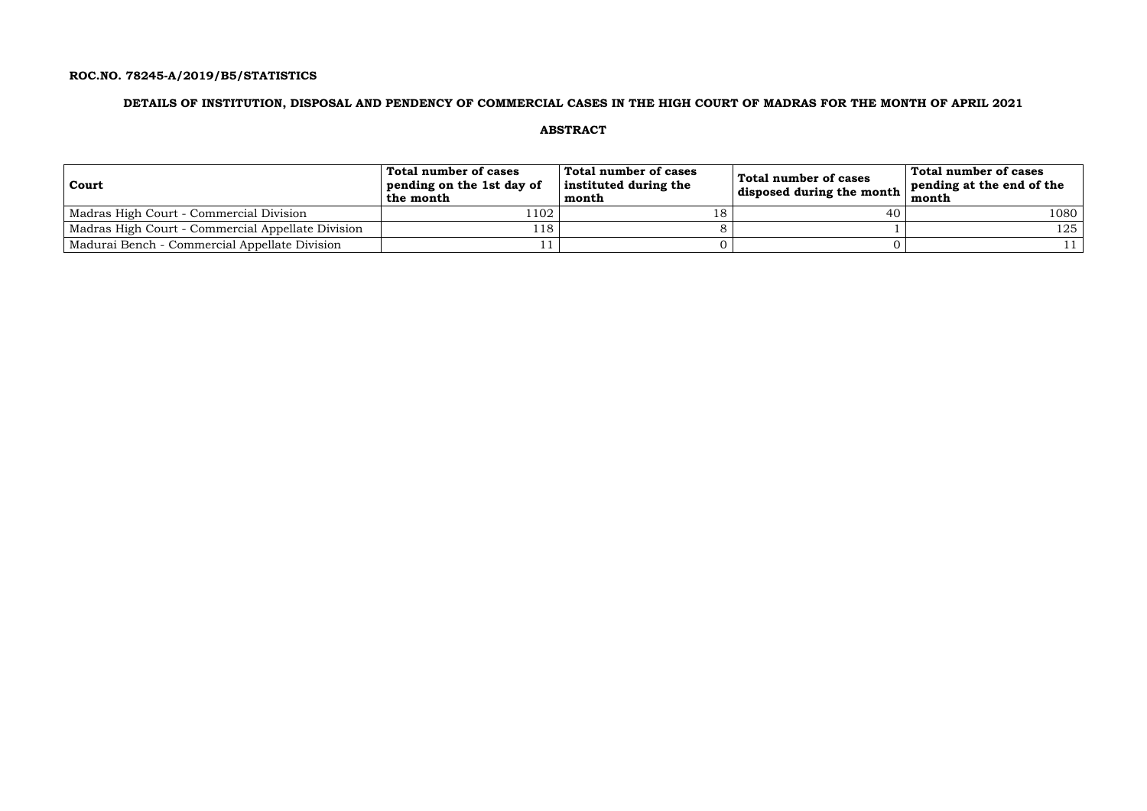## **ROC.NO. 78245-A/2019/B5/STATISTICS**

## **DETAILS OF INSTITUTION, DISPOSAL AND PENDENCY OF COMMERCIAL CASES IN THE HIGH COURT OF MADRAS FOR THE MONTH OF APRIL 2021**

### **ABSTRACT**

| Court                                             | Total number of cases<br>pending on the 1st day of<br>the month | Total number of cases<br>instituted during the<br>month | Total number of cases<br>disposed during the month $\frac{1}{2}$ | Total number of cases<br>pending at the end of the<br>month |
|---------------------------------------------------|-----------------------------------------------------------------|---------------------------------------------------------|------------------------------------------------------------------|-------------------------------------------------------------|
| Madras High Court - Commercial Division           | l 102                                                           | 18                                                      | 40                                                               | 1080                                                        |
| Madras High Court - Commercial Appellate Division | 118                                                             |                                                         |                                                                  | 125                                                         |
| Madurai Bench - Commercial Appellate Division     |                                                                 |                                                         |                                                                  |                                                             |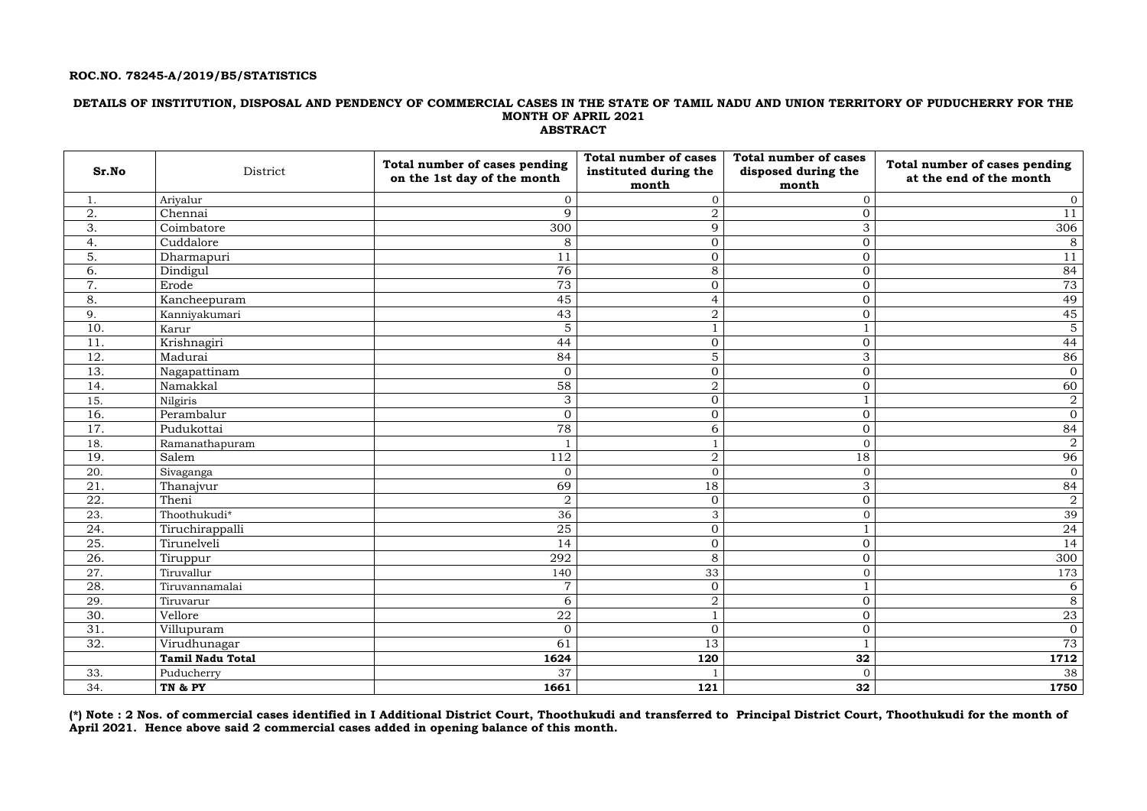### **ROC.NO. 78245-A/2019/B5/STATISTICS**

### **DETAILS OF INSTITUTION, DISPOSAL AND PENDENCY OF COMMERCIAL CASES IN THE STATE OF TAMIL NADU AND UNION TERRITORY OF PUDUCHERRY FOR THE MONTH OF APRIL 2021 ABSTRACT**

| Sr.No            | District                | Total number of cases pending<br>on the 1st day of the month | <b>Total number of cases</b><br>instituted during the<br>month | <b>Total number of cases</b><br>disposed during the<br>month | Total number of cases pending<br>at the end of the month |
|------------------|-------------------------|--------------------------------------------------------------|----------------------------------------------------------------|--------------------------------------------------------------|----------------------------------------------------------|
| 1.               | Ariyalur                | $\overline{0}$                                               | $\overline{0}$                                                 | $\overline{0}$                                               | $\overline{0}$                                           |
| 2.               | Chennai                 | $\mathbf Q$                                                  | $\overline{2}$                                                 | $\overline{0}$                                               | 11                                                       |
| 3.               | Coimbatore              | 300                                                          | 9                                                              | 3                                                            | 306                                                      |
| 4.               | Cuddalore               | 8                                                            | $\overline{0}$                                                 | $\overline{O}$                                               | 8                                                        |
| $\overline{5}$ . | Dharmapuri              | 11                                                           | $\overline{0}$                                                 | $\overline{O}$                                               | 11                                                       |
| 6.               | Dindigul                | 76                                                           | 8                                                              | $\overline{O}$                                               | 84                                                       |
| 7.               | Erode                   | 73                                                           | $\overline{0}$                                                 | $\overline{O}$                                               | 73                                                       |
| 8.               | Kancheepuram            | 45                                                           | $\overline{4}$                                                 | $\overline{O}$                                               | 49                                                       |
| 9.               | Kanniyakumari           | 43                                                           | $\overline{2}$                                                 | $\overline{0}$                                               | 45                                                       |
| 10.              | Karur                   | 5                                                            |                                                                |                                                              | $\overline{5}$                                           |
| 11.              | Krishnagiri             | 44                                                           | $\overline{0}$                                                 | $\boldsymbol{0}$                                             | 44                                                       |
| 12.              | Madurai                 | 84                                                           | 5                                                              | 3                                                            | 86                                                       |
| 13.              | Nagapattinam            | $\overline{0}$                                               | $\overline{0}$                                                 | $\boldsymbol{0}$                                             | $\boldsymbol{0}$                                         |
| 14.              | Namakkal                | 58                                                           | $\overline{2}$                                                 | $\overline{0}$                                               | 60                                                       |
| 15.              | Nilgiris                | 3                                                            | $\overline{0}$                                                 |                                                              | $\overline{a}$                                           |
| 16.              | Perambalur              | $\overline{0}$                                               | $\overline{0}$                                                 | $\overline{0}$                                               | $\mathbf{0}$                                             |
| 17.              | Pudukottai              | 78                                                           | 6                                                              | $\overline{O}$                                               | 84                                                       |
| 18.              | Ramanathapuram          |                                                              |                                                                | $\overline{0}$                                               | $\overline{2}$                                           |
| 19.              | Salem                   | 112                                                          | $\overline{2}$                                                 | 18                                                           | 96                                                       |
| 20.              | Sivaganga               | $\overline{0}$                                               | $\overline{0}$                                                 | $\overline{O}$                                               | $\mathbf{0}$                                             |
| 21.              | Thanajvur               | 69                                                           | 18                                                             | 3                                                            | 84                                                       |
| 22.              | Theni                   | $\overline{2}$                                               | $\overline{0}$                                                 | $\mathbf{0}$                                                 | $\overline{2}$                                           |
| 23.              | Thoothukudi*            | 36                                                           | 3                                                              | $\overline{O}$                                               | 39                                                       |
| 24.              | Tiruchirappalli         | 25                                                           | $\overline{0}$                                                 |                                                              | 24                                                       |
| 25.              | Tirunelveli             | 14                                                           | $\overline{0}$                                                 | $\mathbf 0$                                                  | 14                                                       |
| 26.              | Tiruppur                | 292                                                          | 8                                                              | $\overline{0}$                                               | 300                                                      |
| 27.              | Tiruvallur              | 140                                                          | 33                                                             | $\overline{O}$                                               | 173                                                      |
| 28.              | Tiruvannamalai          | $\overline{7}$                                               | $\overline{0}$                                                 | $\mathbf{1}$                                                 | 6                                                        |
| 29.              | Tiruvarur               | 6                                                            | $\overline{2}$                                                 | $\overline{0}$                                               | $\overline{8}$                                           |
| 30.              | Vellore                 | ${\bf 22}$                                                   | $\mathbf{1}$                                                   | $\overline{O}$                                               | 23                                                       |
| 31.              | Villupuram              | $\overline{O}$                                               | $\overline{0}$                                                 | $\overline{O}$                                               | $\overline{0}$                                           |
| 32.              | Virudhunagar            | 61                                                           | 13                                                             | $\mathbf{1}$                                                 | 73                                                       |
|                  | <b>Tamil Nadu Total</b> | 1624                                                         | 120                                                            | 32                                                           | 1712                                                     |
| 33.              | Puducherry              | 37                                                           |                                                                | $\overline{0}$                                               | 38                                                       |
| 34.              | TN & PY                 | 1661                                                         | 121                                                            | 32                                                           | 1750                                                     |

**(\*) Note : 2 Nos. of commercial cases identified in I Additional District Court, Thoothukudi and transferred to Principal District Court, Thoothukudi for the month of April 2021. Hence above said 2 commercial cases added in opening balance of this month.**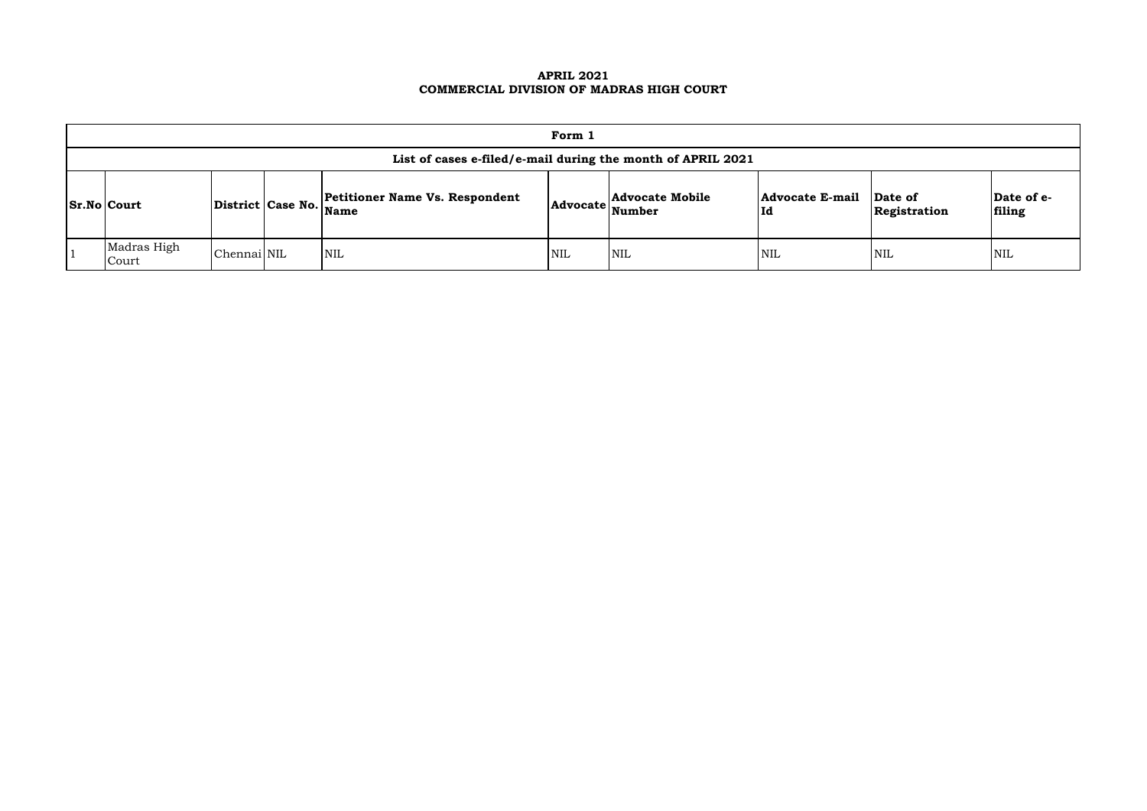### **APRIL 2021 COMMERCIAL DIVISION OF MADRAS HIGH COURT**

| Form 1                                                      |             |  |                                                                 |            |                                         |                               |                         |                      |  |  |
|-------------------------------------------------------------|-------------|--|-----------------------------------------------------------------|------------|-----------------------------------------|-------------------------------|-------------------------|----------------------|--|--|
| List of cases e-filed/e-mail during the month of APRIL 2021 |             |  |                                                                 |            |                                         |                               |                         |                      |  |  |
| <b>Sr.No Court</b>                                          |             |  | <b>Petitioner Name Vs. Respondent</b><br>District Case No. Name | Advocate   | <b>Advocate Mobile</b><br><b>Number</b> | <b>Advocate E-mail</b><br> Id | Date of<br>Registration | Date of e-<br>filing |  |  |
| Madras High<br>Court                                        | Chennai NIL |  | NIL                                                             | <b>NIL</b> | <b>NIL</b>                              | <b>NIL</b>                    | <b>NIL</b>              | <b>NIL</b>           |  |  |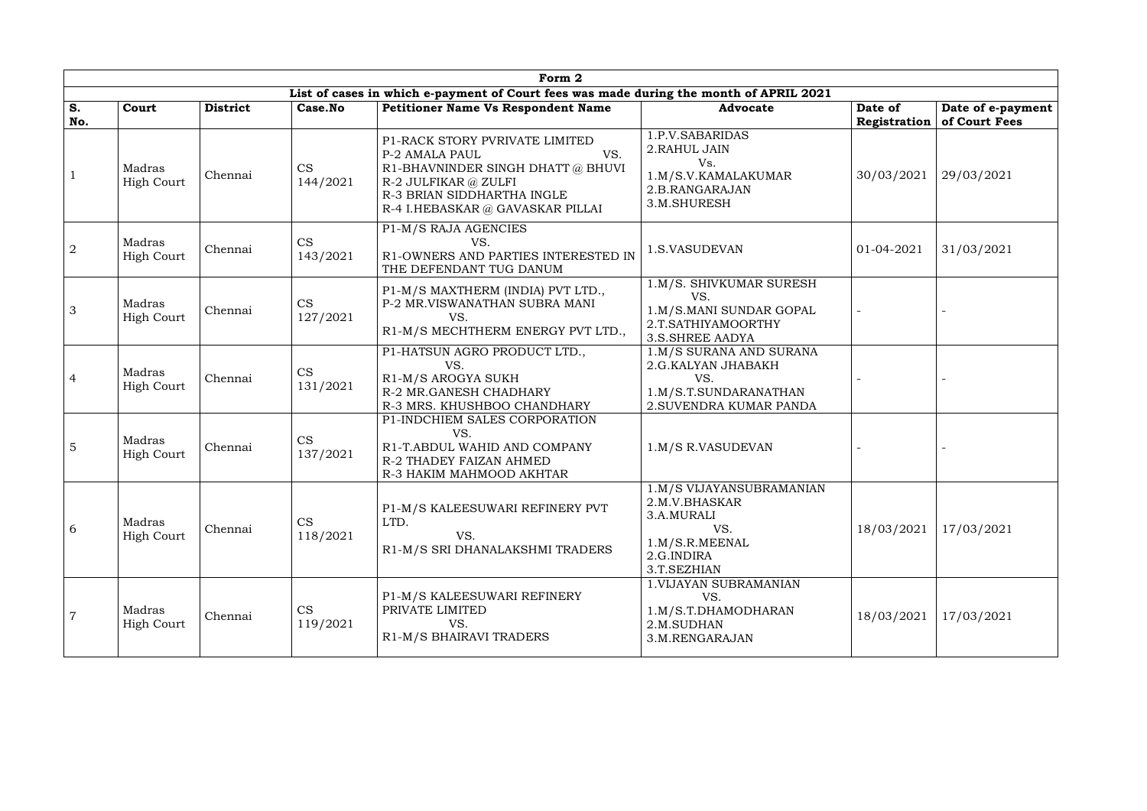|                | Form 2                      |                 |                       |                                                                                                                                                                                        |                                                                                                               |                         |                                    |  |  |  |  |  |
|----------------|-----------------------------|-----------------|-----------------------|----------------------------------------------------------------------------------------------------------------------------------------------------------------------------------------|---------------------------------------------------------------------------------------------------------------|-------------------------|------------------------------------|--|--|--|--|--|
|                |                             |                 |                       | List of cases in which e-payment of Court fees was made during the month of APRIL 2021                                                                                                 |                                                                                                               |                         |                                    |  |  |  |  |  |
| S.<br>No.      | Court                       | <b>District</b> | Case.No               | <b>Petitioner Name Vs Respondent Name</b>                                                                                                                                              | <b>Advocate</b>                                                                                               | Date of<br>Registration | Date of e-payment<br>of Court Fees |  |  |  |  |  |
|                | Madras<br><b>High Court</b> | Chennai         | <b>CS</b><br>144/2021 | P1-RACK STORY PVRIVATE LIMITED<br>VS.<br>P-2 AMALA PAUL<br>R1-BHAVNINDER SINGH DHATT @ BHUVI<br>R-2 JULFIKAR @ ZULFI<br>R-3 BRIAN SIDDHARTHA INGLE<br>R-4 I.HEBASKAR @ GAVASKAR PILLAI | 1.P.V.SABARIDAS<br>2. RAHUL JAIN<br>Vs.<br>1.M/S.V.KAMALAKUMAR<br>2.B.RANGARAJAN<br>3.M.SHURESH               | 30/03/2021              | 29/03/2021                         |  |  |  |  |  |
| $\overline{2}$ | Madras<br>High Court        | Chennai         | CS<br>143/2021        | P1-M/S RAJA AGENCIES<br>VS.<br>R1-OWNERS AND PARTIES INTERESTED IN<br>THE DEFENDANT TUG DANUM                                                                                          | 1.S.VASUDEVAN                                                                                                 | 01-04-2021              | 31/03/2021                         |  |  |  |  |  |
| $\mathfrak{Z}$ | Madras<br>High Court        | Chennai         | CS<br>127/2021        | P1-M/S MAXTHERM (INDIA) PVT LTD.,<br>P-2 MR.VISWANATHAN SUBRA MANI<br>VS.<br>R1-M/S MECHTHERM ENERGY PVT LTD.,                                                                         | 1.M/S. SHIVKUMAR SURESH<br>VS.<br>1.M/S.MANI SUNDAR GOPAL<br>2.T.SATHIYAMOORTHY<br><b>3.S.SHREE AADYA</b>     |                         |                                    |  |  |  |  |  |
| $\overline{4}$ | Madras<br><b>High Court</b> | Chennai         | <b>CS</b><br>131/2021 | P1-HATSUN AGRO PRODUCT LTD.,<br>VS.<br>R1-M/S AROGYA SUKH<br>R-2 MR.GANESH CHADHARY<br>R-3 MRS. KHUSHBOO CHANDHARY                                                                     | 1.M/S SURANA AND SURANA<br>2.G.KALYAN JHABAKH<br>VS.<br>1.M/S.T.SUNDARANATHAN<br>2. SUVENDRA KUMAR PANDA      |                         |                                    |  |  |  |  |  |
| $\overline{5}$ | Madras<br><b>High Court</b> | Chennai         | <b>CS</b><br>137/2021 | P1-INDCHIEM SALES CORPORATION<br>VS.<br>R1-T.ABDUL WAHID AND COMPANY<br>R-2 THADEY FAIZAN AHMED<br>R-3 HAKIM MAHMOOD AKHTAR                                                            | 1.M/S R.VASUDEVAN                                                                                             |                         |                                    |  |  |  |  |  |
| 6              | Madras<br><b>High Court</b> | Chennai         | <b>CS</b><br>118/2021 | P1-M/S KALEESUWARI REFINERY PVT<br>LTD.<br>VS.<br>R1-M/S SRI DHANALAKSHMI TRADERS                                                                                                      | 1.M/S VIJAYANSUBRAMANIAN<br>2.M.V.BHASKAR<br>3.A.MURALI<br>VS.<br>1.M/S.R.MEENAL<br>2.G.INDIRA<br>3.T.SEZHIAN | 18/03/2021              | 17/03/2021                         |  |  |  |  |  |
| $\overline{7}$ | Madras<br>High Court        | Chennai         | CS<br>119/2021        | P1-M/S KALEESUWARI REFINERY<br>PRIVATE LIMITED<br>VS.<br>R1-M/S BHAIRAVI TRADERS                                                                                                       | 1. VIJAYAN SUBRAMANIAN<br>VS.<br>1.M/S.T.DHAMODHARAN<br>2.M.SUDHAN<br>3.M.RENGARAJAN                          | 18/03/2021              | 17/03/2021                         |  |  |  |  |  |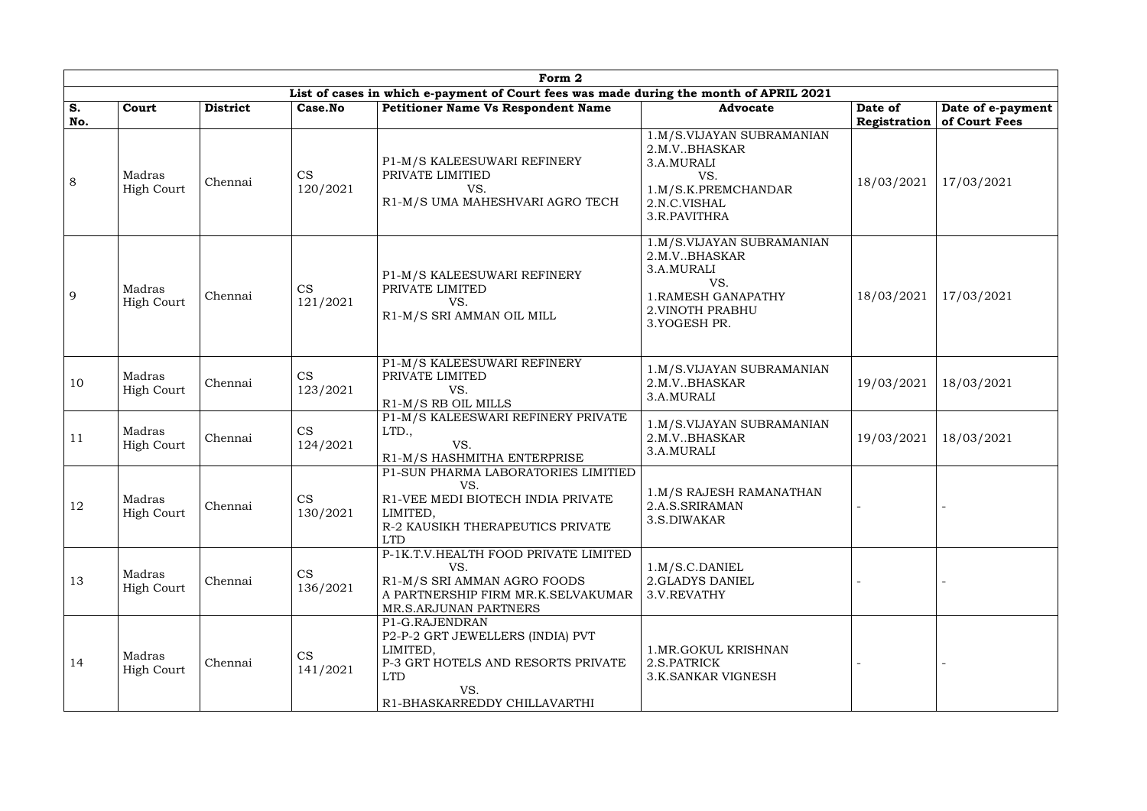|           | Form 2                      |                 |                       |                                                                                                                                                           |                                                                                                                                     |                         |                                    |  |  |  |  |  |
|-----------|-----------------------------|-----------------|-----------------------|-----------------------------------------------------------------------------------------------------------------------------------------------------------|-------------------------------------------------------------------------------------------------------------------------------------|-------------------------|------------------------------------|--|--|--|--|--|
|           |                             |                 |                       | List of cases in which e-payment of Court fees was made during the month of APRIL 2021                                                                    |                                                                                                                                     |                         |                                    |  |  |  |  |  |
| S.<br>No. | Court                       | <b>District</b> | Case.No               | <b>Petitioner Name Vs Respondent Name</b>                                                                                                                 | <b>Advocate</b>                                                                                                                     | Date of<br>Registration | Date of e-payment<br>of Court Fees |  |  |  |  |  |
| 8         | Madras<br><b>High Court</b> | Chennai         | CS<br>120/2021        | P1-M/S KALEESUWARI REFINERY<br>PRIVATE LIMITIED<br>VS.<br>R1-M/S UMA MAHESHVARI AGRO TECH                                                                 | 1.M/S.VIJAYAN SUBRAMANIAN<br>2.M.VBHASKAR<br>3.A.MURALI<br>VS.<br>1.M/S.K.PREMCHANDAR<br>2.N.C.VISHAL<br>3.R.PAVITHRA               | 18/03/2021              | 17/03/2021                         |  |  |  |  |  |
| 9         | Madras<br>High Court        | Chennai         | CS<br>121/2021        | P1-M/S KALEESUWARI REFINERY<br>PRIVATE LIMITED<br>VS.<br>R1-M/S SRI AMMAN OIL MILL                                                                        | 1.M/S.VIJAYAN SUBRAMANIAN<br>2.M.V., BHASKAR<br>3.A.MURALI<br>VS.<br><b>1. RAMESH GANAPATHY</b><br>2. VINOTH PRABHU<br>3.YOGESH PR. | 18/03/2021              | 17/03/2021                         |  |  |  |  |  |
| 10        | Madras<br><b>High Court</b> | Chennai         | CS<br>123/2021        | P1-M/S KALEESUWARI REFINERY<br>PRIVATE LIMITED<br>VS.<br>R1-M/S RB OIL MILLS                                                                              | 1.M/S.VIJAYAN SUBRAMANIAN<br>2.M.VBHASKAR<br>3.A.MURALI                                                                             | 19/03/2021              | 18/03/2021                         |  |  |  |  |  |
| 11        | Madras<br><b>High Court</b> | Chennai         | CS<br>124/2021        | P1-M/S KALEESWARI REFINERY PRIVATE<br>LTD.,<br>VS.<br>R1-M/S HASHMITHA ENTERPRISE                                                                         | 1.M/S.VIJAYAN SUBRAMANIAN<br>2.M.VBHASKAR<br>3.A.MURALI                                                                             | 19/03/2021              | 18/03/2021                         |  |  |  |  |  |
| 12        | Madras<br><b>High Court</b> | Chennai         | <b>CS</b><br>130/2021 | P1-SUN PHARMA LABORATORIES LIMITIED<br>VS.<br>R1-VEE MEDI BIOTECH INDIA PRIVATE<br>LIMITED,<br>R-2 KAUSIKH THERAPEUTICS PRIVATE<br><b>LTD</b>             | 1.M/S RAJESH RAMANATHAN<br>2.A.S.SRIRAMAN<br>3.S.DIWAKAR                                                                            |                         |                                    |  |  |  |  |  |
| 13        | Madras<br><b>High Court</b> | Chennai         | <b>CS</b><br>136/2021 | P-1K.T.V.HEALTH FOOD PRIVATE LIMITED<br>VS.<br>R1-M/S SRI AMMAN AGRO FOODS<br>A PARTNERSHIP FIRM MR.K.SELVAKUMAR<br><b>MR.S.ARJUNAN PARTNERS</b>          | 1.M/S.C.DANIEL<br>2.GLADYS DANIEL<br>3.V.REVATHY                                                                                    |                         |                                    |  |  |  |  |  |
| 14        | Madras<br><b>High Court</b> | Chennai         | <b>CS</b><br>141/2021 | P1-G.RAJENDRAN<br>P2-P-2 GRT JEWELLERS (INDIA) PVT<br>LIMITED,<br>P-3 GRT HOTELS AND RESORTS PRIVATE<br><b>LTD</b><br>VS.<br>R1-BHASKARREDDY CHILLAVARTHI | 1.MR.GOKUL KRISHNAN<br>2.S.PATRICK<br><b>3.K.SANKAR VIGNESH</b>                                                                     |                         |                                    |  |  |  |  |  |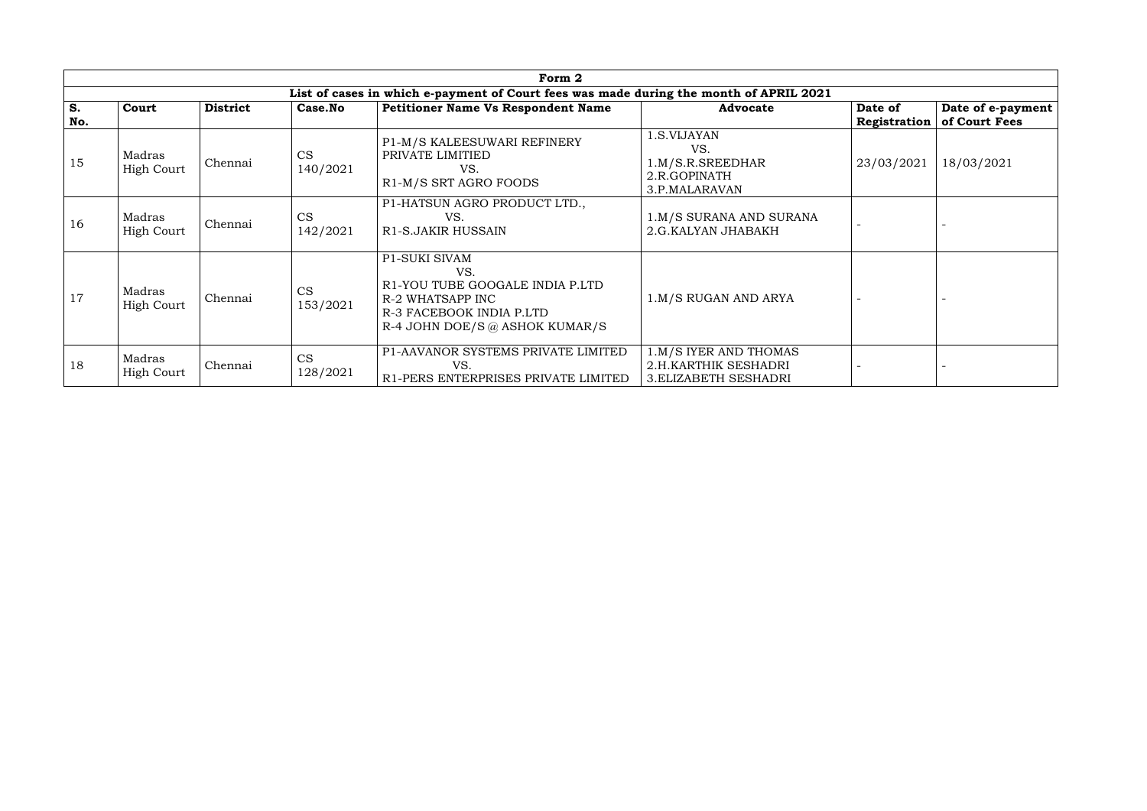|           | Form 2                      |                 |                       |                                                                                                                                                  |                                                                               |                         |                                    |  |  |  |  |  |
|-----------|-----------------------------|-----------------|-----------------------|--------------------------------------------------------------------------------------------------------------------------------------------------|-------------------------------------------------------------------------------|-------------------------|------------------------------------|--|--|--|--|--|
|           |                             |                 |                       | List of cases in which e-payment of Court fees was made during the month of APRIL 2021                                                           |                                                                               |                         |                                    |  |  |  |  |  |
| S.<br>No. | Court                       | <b>District</b> | Case.No               | <b>Petitioner Name Vs Respondent Name</b>                                                                                                        | <b>Advocate</b>                                                               | Date of<br>Registration | Date of e-payment<br>of Court Fees |  |  |  |  |  |
| 15        | Madras<br><b>High Court</b> | Chennai         | <b>CS</b><br>140/2021 | P1-M/S KALEESUWARI REFINERY<br>PRIVATE LIMITIED<br>VS.<br>R1-M/S SRT AGRO FOODS                                                                  | 1.S.VIJAYAN<br>VS.<br>1.M/S.R.SREEDHAR<br>2.R.GOPINATH<br>3.P.MALARAVAN       | 23/03/2021              | 18/03/2021                         |  |  |  |  |  |
| 16        | Madras<br>High Court        | Chennai         | CS<br>142/2021        | P1-HATSUN AGRO PRODUCT LTD.,<br>VS.<br>R1-S.JAKIR HUSSAIN                                                                                        | 1.M/S SURANA AND SURANA<br>2.G.KALYAN JHABAKH                                 |                         |                                    |  |  |  |  |  |
| 17        | Madras<br>High Court        | Chennai         | <b>CS</b><br>153/2021 | <b>P1-SUKI SIVAM</b><br>VS.<br>R1-YOU TUBE GOOGALE INDIA P.LTD<br>R-2 WHATSAPP INC<br>R-3 FACEBOOK INDIA P.LTD<br>R-4 JOHN DOE/S @ ASHOK KUMAR/S | 1.M/S RUGAN AND ARYA                                                          |                         |                                    |  |  |  |  |  |
| 18        | Madras<br><b>High Court</b> | Chennai         | CS<br>128/2021        | P1-AAVANOR SYSTEMS PRIVATE LIMITED<br>VS.<br>R1-PERS ENTERPRISES PRIVATE LIMITED                                                                 | 1.M/S IYER AND THOMAS<br>2.H.KARTHIK SESHADRI<br><b>3. ELIZABETH SESHADRI</b> |                         |                                    |  |  |  |  |  |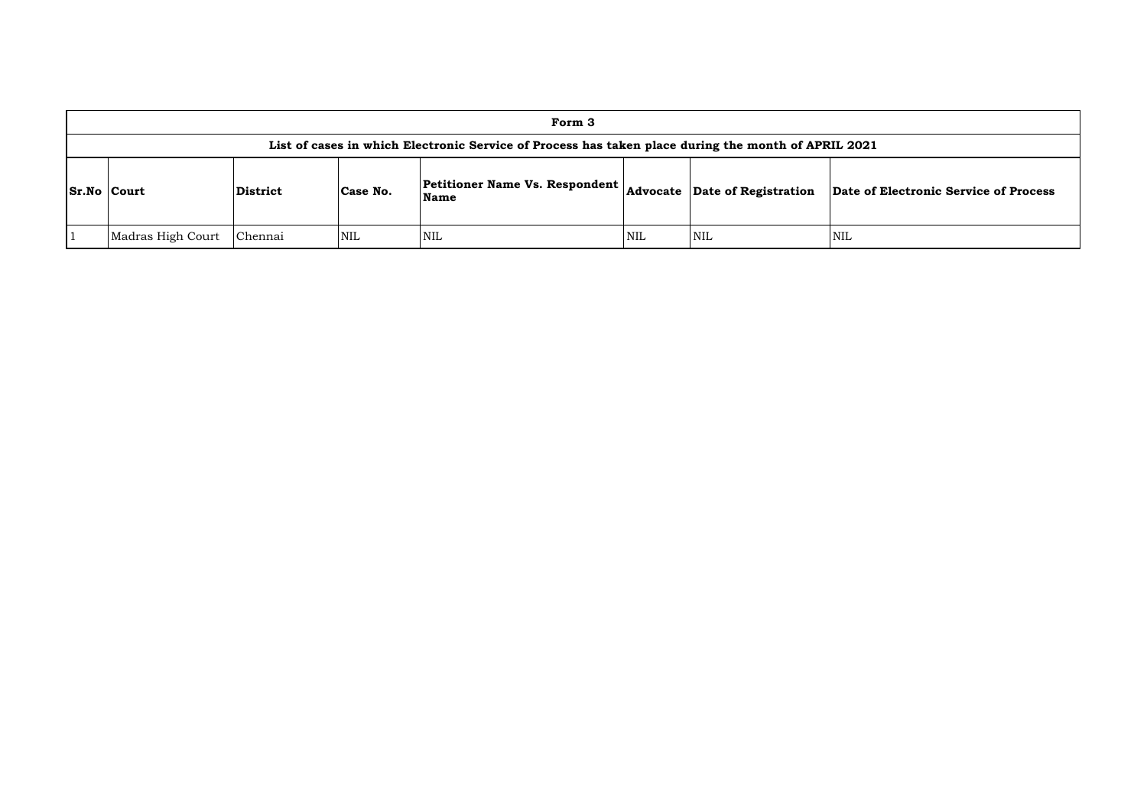|                    | Form 3                                                                                              |                 |            |                                          |            |                                      |         |  |  |  |  |
|--------------------|-----------------------------------------------------------------------------------------------------|-----------------|------------|------------------------------------------|------------|--------------------------------------|---------|--|--|--|--|
|                    | List of cases in which Electronic Service of Process has taken place during the month of APRIL 2021 |                 |            |                                          |            |                                      |         |  |  |  |  |
| <b>Sr.No Court</b> |                                                                                                     | <b>District</b> | Case No.   | Petitioner Name Vs. Respondent  <br>Name |            | <b>Advocate</b> Date of Registration | Date of |  |  |  |  |
|                    | Madras High Court                                                                                   | Chennai         | <b>NIL</b> | NIL                                      | <b>NIL</b> | <b>NIL</b>                           | NIL     |  |  |  |  |

**of Electronic Service of Process**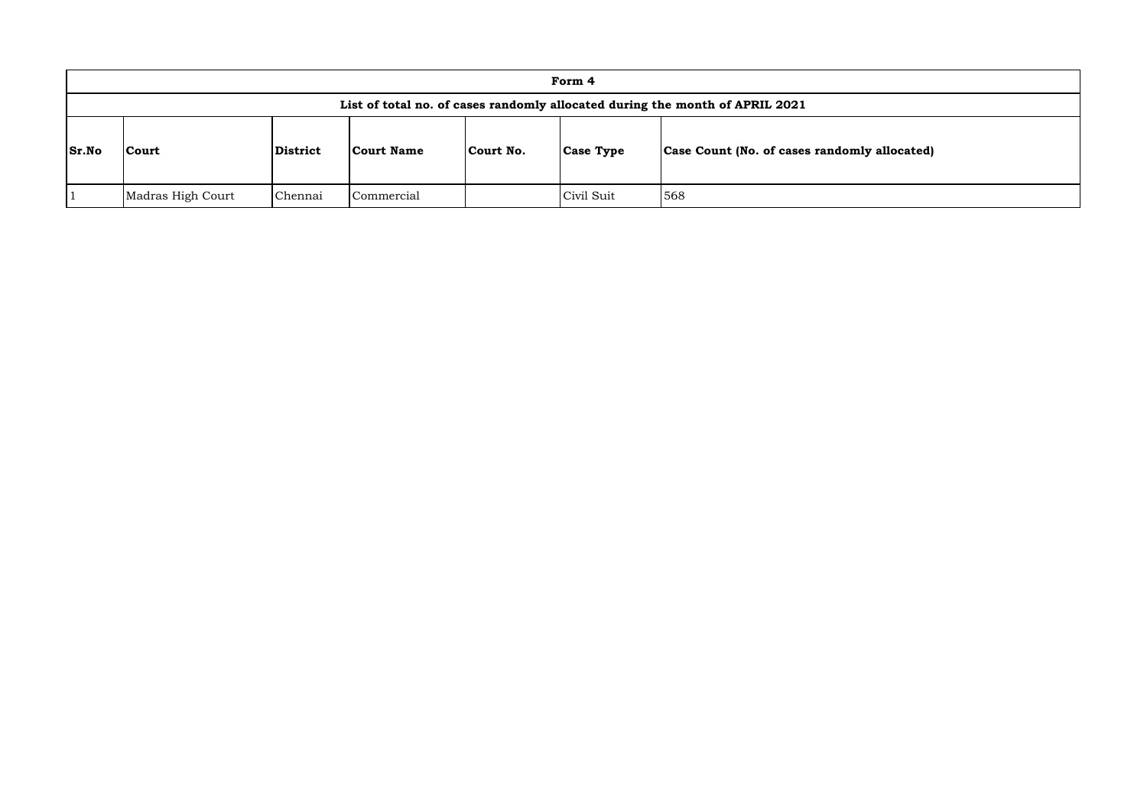|              | Form 4                                                                       |          |                   |           |                  |                                              |  |  |  |  |
|--------------|------------------------------------------------------------------------------|----------|-------------------|-----------|------------------|----------------------------------------------|--|--|--|--|
|              | List of total no. of cases randomly allocated during the month of APRIL 2021 |          |                   |           |                  |                                              |  |  |  |  |
| <b>Sr.No</b> | <b>Court</b>                                                                 | District | <b>Court Name</b> | Court No. | <b>Case Type</b> | Case Count (No. of cases randomly allocated) |  |  |  |  |
|              | Madras High Court                                                            | Chennai  | Commercial        |           | Civil Suit       | 568                                          |  |  |  |  |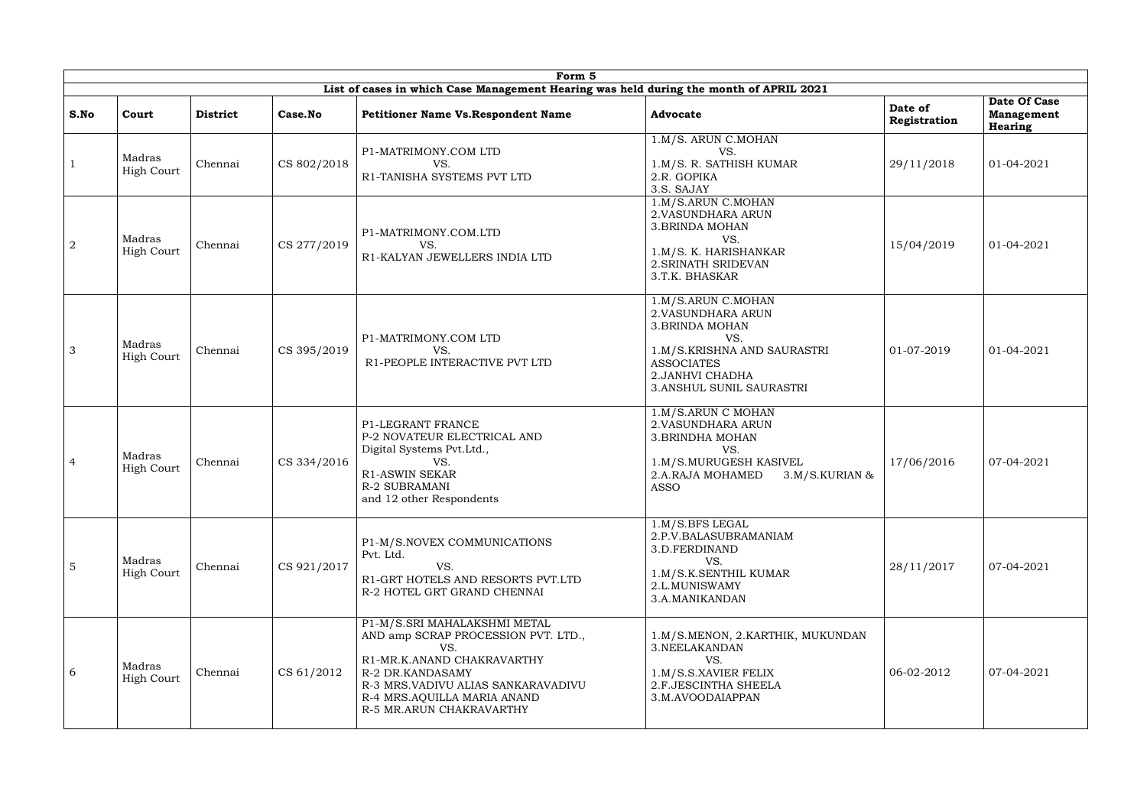|                 | Form 5<br>List of cases in which Case Management Hearing was held during the month of APRIL 2021 |                 |             |                                                                                                                                                                                                                               |                                                                                                                                                                               |                         |                                                     |  |  |  |  |  |
|-----------------|--------------------------------------------------------------------------------------------------|-----------------|-------------|-------------------------------------------------------------------------------------------------------------------------------------------------------------------------------------------------------------------------------|-------------------------------------------------------------------------------------------------------------------------------------------------------------------------------|-------------------------|-----------------------------------------------------|--|--|--|--|--|
| S.No            | Court                                                                                            | <b>District</b> | Case.No     | <b>Petitioner Name Vs. Respondent Name</b>                                                                                                                                                                                    | <b>Advocate</b>                                                                                                                                                               | Date of<br>Registration | Date Of Case<br><b>Management</b><br><b>Hearing</b> |  |  |  |  |  |
|                 | Madras<br><b>High Court</b>                                                                      | Chennai         | CS 802/2018 | P1-MATRIMONY.COM LTD<br>VS.<br>R1-TANISHA SYSTEMS PVT LTD                                                                                                                                                                     | 1.M/S. ARUN C.MOHAN<br>VS.<br>1.M/S. R. SATHISH KUMAR<br>2.R. GOPIKA<br>3.S. SAJAY                                                                                            | 29/11/2018              | 01-04-2021                                          |  |  |  |  |  |
| $\overline{2}$  | Madras<br><b>High Court</b>                                                                      | Chennai         | CS 277/2019 | P1-MATRIMONY.COM.LTD<br>VS.<br>R1-KALYAN JEWELLERS INDIA LTD                                                                                                                                                                  | 1.M/S.ARUN C.MOHAN<br>2. VASUNDHARA ARUN<br><b>3. BRINDA MOHAN</b><br>VS.<br>1.M/S. K. HARISHANKAR<br>2. SRINATH SRIDEVAN<br>3.T.K. BHASKAR                                   | 15/04/2019              | 01-04-2021                                          |  |  |  |  |  |
| 3               | Madras<br><b>High Court</b>                                                                      | Chennai         | CS 395/2019 | P1-MATRIMONY.COM LTD<br>VS.<br>R1-PEOPLE INTERACTIVE PVT LTD                                                                                                                                                                  | 1.M/S.ARUN C.MOHAN<br>2. VASUNDHARA ARUN<br><b>3.BRINDA MOHAN</b><br>VS.<br>1.M/S.KRISHNA AND SAURASTRI<br><b>ASSOCIATES</b><br>2. JANHVI CHADHA<br>3. ANSHUL SUNIL SAURASTRI | 01-07-2019              | 01-04-2021                                          |  |  |  |  |  |
| -4              | Madras<br><b>High Court</b>                                                                      | Chennai         | CS 334/2016 | P1-LEGRANT FRANCE<br>P-2 NOVATEUR ELECTRICAL AND<br>Digital Systems Pvt.Ltd.,<br>VS.<br><b>R1-ASWIN SEKAR</b><br><b>R-2 SUBRAMANI</b><br>and 12 other Respondents                                                             | 1.M/S.ARUN C MOHAN<br>2. VASUNDHARA ARUN<br>3. BRINDHA MOHAN<br>VS.<br>1.M/S.MURUGESH KASIVEL<br>2.A.RAJA MOHAMED<br>$3.M/S.KURIAN$ &<br><b>ASSO</b>                          | 17/06/2016              | 07-04-2021                                          |  |  |  |  |  |
| $5\overline{5}$ | Madras<br><b>High Court</b>                                                                      | Chennai         | CS 921/2017 | P1-M/S.NOVEX COMMUNICATIONS<br>Pvt. Ltd.<br>VS.<br>R1-GRT HOTELS AND RESORTS PVT.LTD<br>R-2 HOTEL GRT GRAND CHENNAI                                                                                                           | 1.M/S.BFS LEGAL<br>2.P.V.BALASUBRAMANIAM<br>3.D.FERDINAND<br>VS.<br>1.M/S.K.SENTHIL KUMAR<br>2.L.MUNISWAMY<br>3.A.MANIKANDAN                                                  | 28/11/2017              | 07-04-2021                                          |  |  |  |  |  |
| 6               | Madras<br><b>High Court</b>                                                                      | Chennai         | CS 61/2012  | P1-M/S.SRI MAHALAKSHMI METAL<br>AND amp SCRAP PROCESSION PVT. LTD.,<br>VS.<br>R1-MR.K.ANAND CHAKRAVARTHY<br>R-2 DR.KANDASAMY<br>R-3 MRS.VADIVU ALIAS SANKARAVADIVU<br>R-4 MRS.AQUILLA MARIA ANAND<br>R-5 MR.ARUN CHAKRAVARTHY | 1.M/S.MENON, 2.KARTHIK, MUKUNDAN<br>3.NEELAKANDAN<br>VS.<br>1.M/S.S.XAVIER FELIX<br>2.F.JESCINTHA SHEELA<br>3.M.AVOODAIAPPAN                                                  | 06-02-2012              | 07-04-2021                                          |  |  |  |  |  |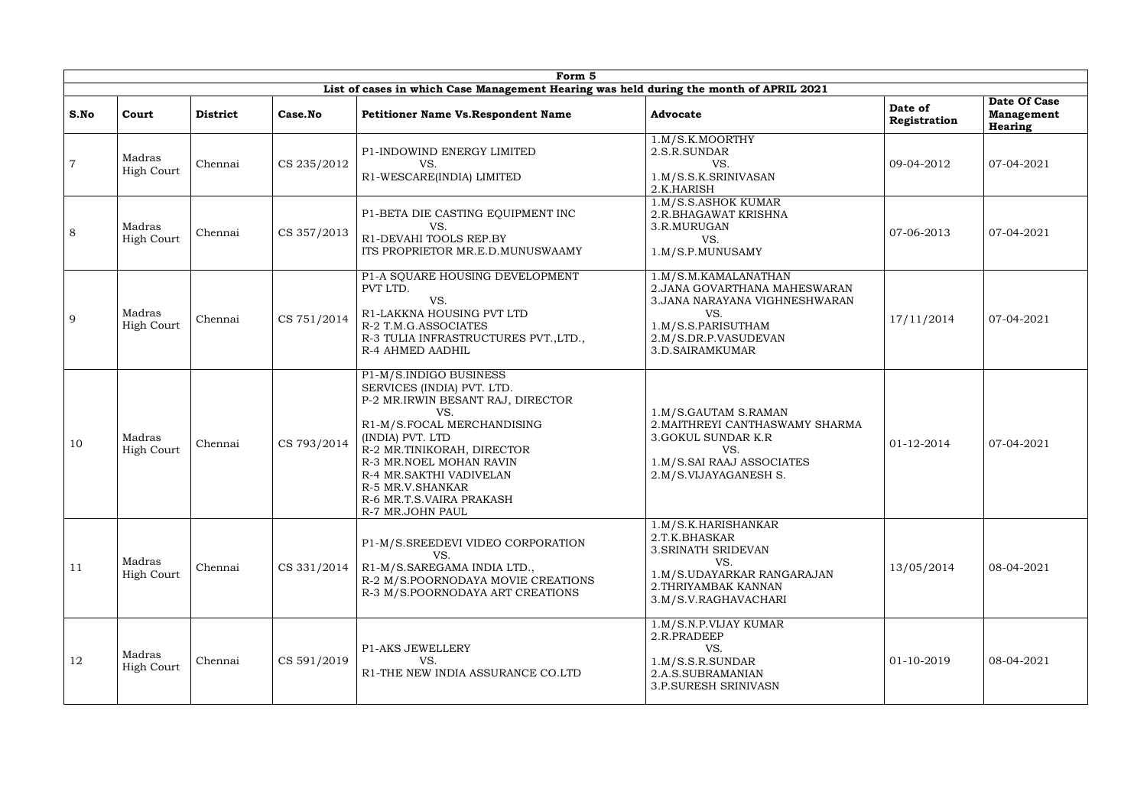|      | Form 5<br>List of cases in which Case Management Hearing was held during the month of APRIL 2021 |                 |             |                                                                                                                                                                                                                                                                                                            |                                                                                                                                                                 |                         |                                              |  |  |  |  |  |
|------|--------------------------------------------------------------------------------------------------|-----------------|-------------|------------------------------------------------------------------------------------------------------------------------------------------------------------------------------------------------------------------------------------------------------------------------------------------------------------|-----------------------------------------------------------------------------------------------------------------------------------------------------------------|-------------------------|----------------------------------------------|--|--|--|--|--|
|      |                                                                                                  |                 |             |                                                                                                                                                                                                                                                                                                            |                                                                                                                                                                 |                         |                                              |  |  |  |  |  |
| S.No | Court                                                                                            | <b>District</b> | Case.No     | <b>Petitioner Name Vs. Respondent Name</b>                                                                                                                                                                                                                                                                 | <b>Advocate</b>                                                                                                                                                 | Date of<br>Registration | Date Of Case<br><b>Management</b><br>Hearing |  |  |  |  |  |
|      | Madras<br><b>High Court</b>                                                                      | Chennai         | CS 235/2012 | P1-INDOWIND ENERGY LIMITED<br>VS.<br>R1-WESCARE(INDIA) LIMITED                                                                                                                                                                                                                                             | 1.M/S.K.MOORTHY<br>2.S.R.SUNDAR<br>VS.<br>1.M/S.S.K.SRINIVASAN<br>2.K.HARISH                                                                                    | 09-04-2012              | 07-04-2021                                   |  |  |  |  |  |
| 8    | Madras<br>High Court                                                                             | Chennai         | CS 357/2013 | P1-BETA DIE CASTING EQUIPMENT INC<br>VS.<br>R1-DEVAHI TOOLS REP.BY<br>ITS PROPRIETOR MR.E.D.MUNUSWAAMY                                                                                                                                                                                                     | 1.M/S.S.ASHOK KUMAR<br>2.R.BHAGAWAT KRISHNA<br>3.R.MURUGAN<br>VS.<br>1.M/S.P.MUNUSAMY                                                                           | 07-06-2013              | 07-04-2021                                   |  |  |  |  |  |
| 9    | Madras<br>High Court                                                                             | Chennai         | CS 751/2014 | P1-A SQUARE HOUSING DEVELOPMENT<br>PVT LTD.<br>VS.<br>R1-LAKKNA HOUSING PVT LTD<br>R-2 T.M.G.ASSOCIATES<br>R-3 TULIA INFRASTRUCTURES PVT., LTD.,<br>R-4 AHMED AADHIL                                                                                                                                       | 1.M/S.M.KAMALANATHAN<br>2. JANA GOVARTHANA MAHESWARAN<br>3. JANA NARAYANA VIGHNESHWARAN<br>VS.<br>1.M/S.S.PARISUTHAM<br>2.M/S.DR.P.VASUDEVAN<br>3.D.SAIRAMKUMAR | 17/11/2014              | 07-04-2021                                   |  |  |  |  |  |
| 10   | Madras<br>High Court                                                                             | Chennai         | CS 793/2014 | P1-M/S.INDIGO BUSINESS<br>SERVICES (INDIA) PVT. LTD.<br>P-2 MR.IRWIN BESANT RAJ, DIRECTOR<br>VS.<br>R1-M/S.FOCAL MERCHANDISING<br>(INDIA) PVT. LTD<br>R-2 MR.TINIKORAH, DIRECTOR<br>R-3 MR.NOEL MOHAN RAVIN<br>R-4 MR.SAKTHI VADIVELAN<br>R-5 MR.V.SHANKAR<br>R-6 MR.T.S.VAIRA PRAKASH<br>R-7 MR.JOHN PAUL | 1.M/S.GAUTAM S.RAMAN<br>2. MAITHREYI CANTHASWAMY SHARMA<br>3. GOKUL SUNDAR K.R<br>VS.<br>1.M/S.SAI RAAJ ASSOCIATES<br>2.M/S.VIJAYAGANESH S.                     | 01-12-2014              | 07-04-2021                                   |  |  |  |  |  |
| 11   | Madras<br><b>High Court</b>                                                                      | Chennai         | CS 331/2014 | P1-M/S.SREEDEVI VIDEO CORPORATION<br>VS.<br>R1-M/S.SAREGAMA INDIA LTD.,<br>R-2 M/S.POORNODAYA MOVIE CREATIONS<br>R-3 M/S.POORNODAYA ART CREATIONS                                                                                                                                                          | 1.M/S.K.HARISHANKAR<br>2.T.K.BHASKAR<br>3. SRINATH SRIDEVAN<br>VS.<br>1.M/S.UDAYARKAR RANGARAJAN<br>2. THRIYAMBAK KANNAN<br>3.M/S.V.RAGHAVACHARI                | 13/05/2014              | 08-04-2021                                   |  |  |  |  |  |
| 12   | Madras<br><b>High Court</b>                                                                      | Chennai         | CS 591/2019 | <b>P1-AKS JEWELLERY</b><br>VS.<br>R1-THE NEW INDIA ASSURANCE CO.LTD                                                                                                                                                                                                                                        | 1.M/S.N.P.VIJAY KUMAR<br>2.R.PRADEEP<br>VS.<br>1.M/S.S.R.SUNDAR<br>2.A.S.SUBRAMANIAN<br>3.P.SURESH SRINIVASN                                                    | 01-10-2019              | 08-04-2021                                   |  |  |  |  |  |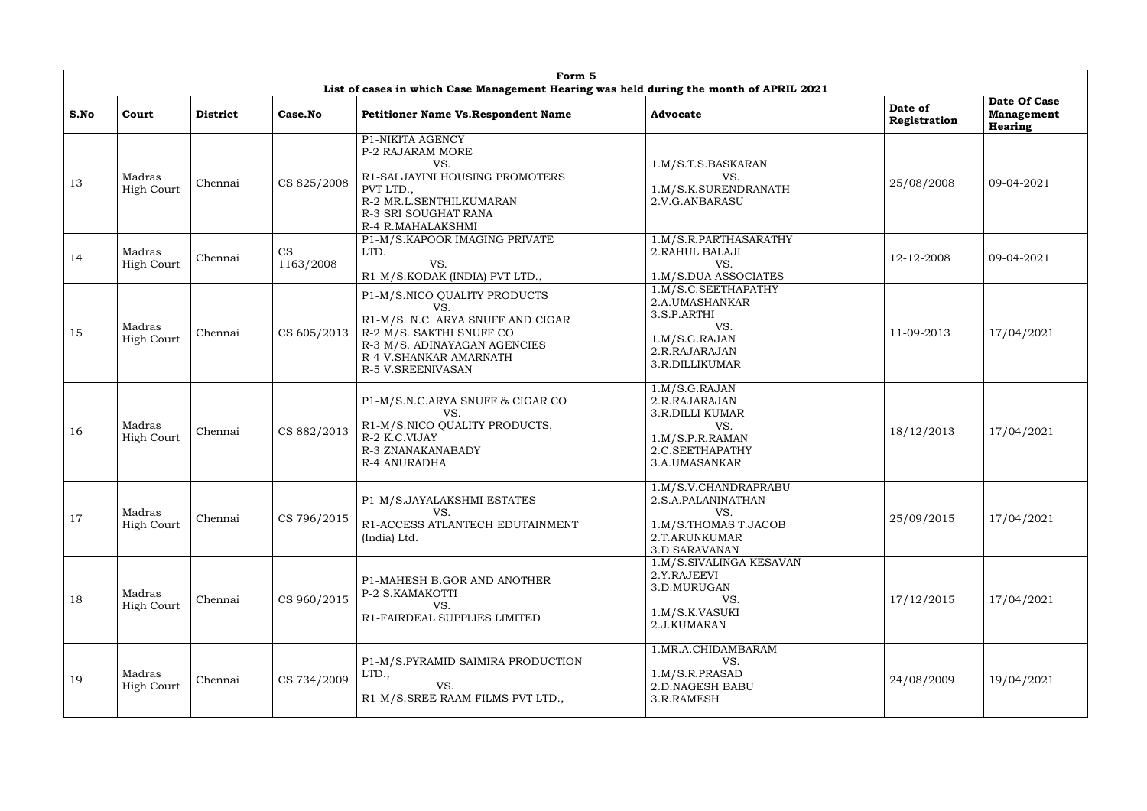|      | Form 5<br>List of cases in which Case Management Hearing was held during the month of APRIL 2021 |                 |                        |                                                                                                                                                                                     |                                                                                                                        |                         |                                                     |  |  |  |  |  |
|------|--------------------------------------------------------------------------------------------------|-----------------|------------------------|-------------------------------------------------------------------------------------------------------------------------------------------------------------------------------------|------------------------------------------------------------------------------------------------------------------------|-------------------------|-----------------------------------------------------|--|--|--|--|--|
| S.No | Court                                                                                            | <b>District</b> | Case.No                | <b>Petitioner Name Vs. Respondent Name</b>                                                                                                                                          | <b>Advocate</b>                                                                                                        | Date of<br>Registration | Date Of Case<br><b>Management</b><br><b>Hearing</b> |  |  |  |  |  |
| 13   | Madras<br><b>High Court</b>                                                                      | Chennai         | CS 825/2008            | P1-NIKITA AGENCY<br>P-2 RAJARAM MORE<br>VS.<br>R1-SAI JAYINI HOUSING PROMOTERS<br>PVT LTD.,<br>R-2 MR.L.SENTHILKUMARAN<br>R-3 SRI SOUGHAT RANA<br>R-4 R.MAHALAKSHMI                 | 1.M/S.T.S.BASKARAN<br>VS.<br>1.M/S.K.SURENDRANATH<br>2.V.G.ANBARASU                                                    | 25/08/2008              | 09-04-2021                                          |  |  |  |  |  |
| 14   | Madras<br>High Court                                                                             | Chennai         | <b>CS</b><br>1163/2008 | P1-M/S.KAPOOR IMAGING PRIVATE<br>LTD.<br>VS.<br>R1-M/S.KODAK (INDIA) PVT LTD.,                                                                                                      | 1.M/S.R.PARTHASARATHY<br>2. RAHUL BALAJI<br>VS.<br>1.M/S.DUA ASSOCIATES                                                | 12-12-2008              | 09-04-2021                                          |  |  |  |  |  |
| 15   | Madras<br><b>High Court</b>                                                                      | Chennai         | CS 605/2013            | P1-M/S.NICO QUALITY PRODUCTS<br>VS.<br>R1-M/S. N.C. ARYA SNUFF AND CIGAR<br>R-2 M/S. SAKTHI SNUFF CO<br>R-3 M/S. ADINAYAGAN AGENCIES<br>R-4 V.SHANKAR AMARNATH<br>R-5 V.SREENIVASAN | 1.M/S.C.SEETHAPATHY<br>2.A.UMASHANKAR<br>3.S.P.ARTHI<br>VS.<br>1.M/S.G.RAJAN<br>2.R.RAJARAJAN<br>3.R.DILLIKUMAR        | 11-09-2013              | 17/04/2021                                          |  |  |  |  |  |
| 16   | Madras<br><b>High Court</b>                                                                      | Chennai         | CS 882/2013            | P1-M/S.N.C.ARYA SNUFF & CIGAR CO<br>VS.<br>R1-M/S.NICO QUALITY PRODUCTS,<br>R-2 K.C.VIJAY<br>R-3 ZNANAKANABADY<br><b>R-4 ANURADHA</b>                                               | 1.M/S.G.RAJAN<br>2.R.RAJARAJAN<br><b>3.R.DILLI KUMAR</b><br>VS.<br>1.M/S.P.R.RAMAN<br>2.C.SEETHAPATHY<br>3.A.UMASANKAR | 18/12/2013              | 17/04/2021                                          |  |  |  |  |  |
| 17   | Madras<br><b>High Court</b>                                                                      | Chennai         | CS 796/2015            | P1-M/S.JAYALAKSHMI ESTATES<br>VS.<br>R1-ACCESS ATLANTECH EDUTAINMENT<br>(India) Ltd.                                                                                                | 1.M/S.V.CHANDRAPRABU<br>2.S.A.PALANINATHAN<br>VS.<br>1.M/S.THOMAS T.JACOB<br>2.T.ARUNKUMAR<br>3.D.SARAVANAN            | 25/09/2015              | 17/04/2021                                          |  |  |  |  |  |
| 18   | Madras<br><b>High Court</b>                                                                      | Chennai         | CS 960/2015            | P1-MAHESH B.GOR AND ANOTHER<br>P-2 S.KAMAKOTTI<br>VS.<br>R1-FAIRDEAL SUPPLIES LIMITED                                                                                               | 1.M/S.SIVALINGA KESAVAN<br>2.Y.RAJEEVI<br>3.D.MURUGAN<br>VS.<br>1.M/S.K.VASUKI<br>2.J.KUMARAN                          | 17/12/2015              | 17/04/2021                                          |  |  |  |  |  |
| 19   | Madras<br><b>High Court</b>                                                                      | Chennai         | CS 734/2009            | P1-M/S.PYRAMID SAIMIRA PRODUCTION<br>LTD.,<br>VS.<br>R1-M/S.SREE RAAM FILMS PVT LTD.,                                                                                               | 1.MR.A.CHIDAMBARAM<br>VS.<br>1.M/S.R.PRASAD<br>2.D.NAGESH BABU<br>3.R.RAMESH                                           | 24/08/2009              | 19/04/2021                                          |  |  |  |  |  |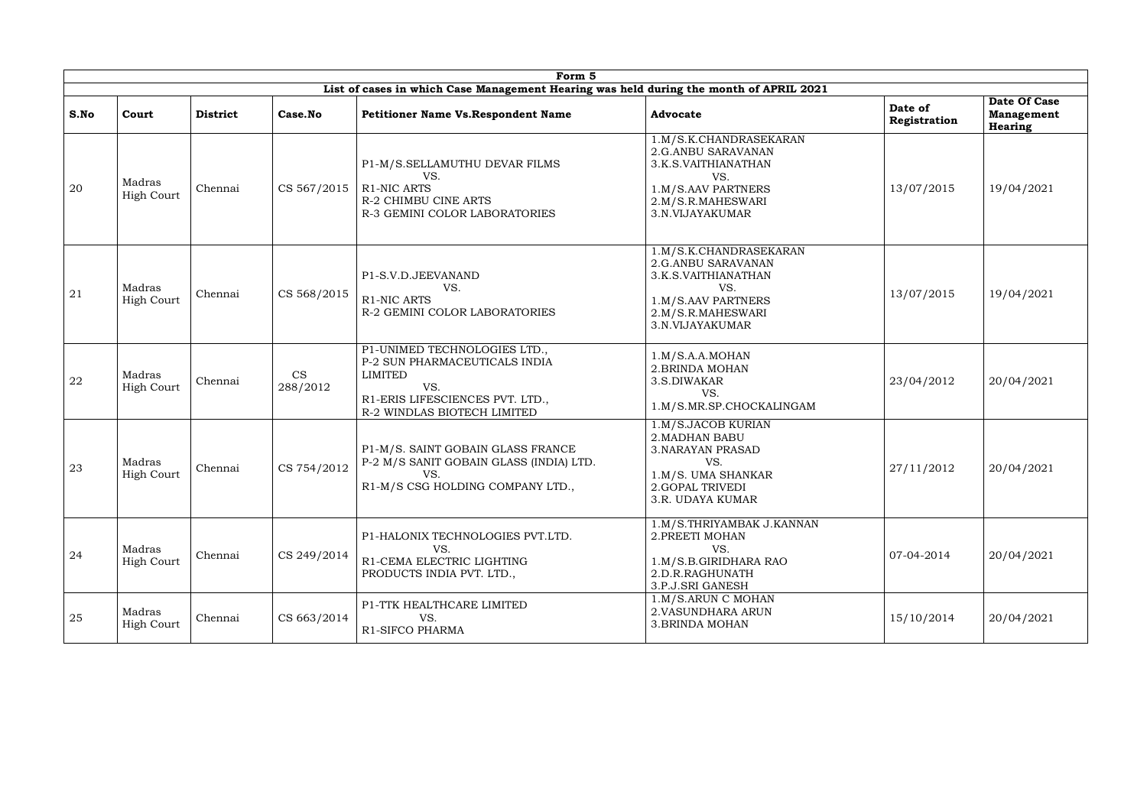|      | Form 5                      |                 |                |                                                                                                                                                          |                                                                                                                                          |                         |                                              |  |  |  |  |
|------|-----------------------------|-----------------|----------------|----------------------------------------------------------------------------------------------------------------------------------------------------------|------------------------------------------------------------------------------------------------------------------------------------------|-------------------------|----------------------------------------------|--|--|--|--|
|      |                             |                 |                | List of cases in which Case Management Hearing was held during the month of APRIL 2021                                                                   |                                                                                                                                          |                         |                                              |  |  |  |  |
| S.No | Court                       | <b>District</b> | Case.No        | <b>Petitioner Name Vs. Respondent Name</b>                                                                                                               | <b>Advocate</b>                                                                                                                          | Date of<br>Registration | Date Of Case<br><b>Management</b><br>Hearing |  |  |  |  |
| 20   | Madras<br><b>High Court</b> | Chennai         | CS 567/2015    | P1-M/S.SELLAMUTHU DEVAR FILMS<br>VS.<br>R1-NIC ARTS<br>R-2 CHIMBU CINE ARTS<br>R-3 GEMINI COLOR LABORATORIES                                             | 1.M/S.K.CHANDRASEKARAN<br>2.G.ANBU SARAVANAN<br>3.K.S.VAITHIANATHAN<br>VS.<br>1.M/S.AAV PARTNERS<br>2.M/S.R.MAHESWARI<br>3.N.VIJAYAKUMAR | 13/07/2015              | 19/04/2021                                   |  |  |  |  |
| 21   | Madras<br>High Court        | Chennai         | CS 568/2015    | P1-S.V.D.JEEVANAND<br>VS.<br><b>R1-NIC ARTS</b><br>R-2 GEMINI COLOR LABORATORIES                                                                         | 1.M/S.K.CHANDRASEKARAN<br>2.G.ANBU SARAVANAN<br>3.K.S.VAITHIANATHAN<br>VS.<br>1.M/S.AAV PARTNERS<br>2.M/S.R.MAHESWARI<br>3.N.VIJAYAKUMAR | 13/07/2015              | 19/04/2021                                   |  |  |  |  |
| 22   | Madras<br><b>High Court</b> | Chennai         | CS<br>288/2012 | P1-UNIMED TECHNOLOGIES LTD.,<br>P-2 SUN PHARMACEUTICALS INDIA<br><b>LIMITED</b><br>VS.<br>R1-ERIS LIFESCIENCES PVT. LTD.,<br>R-2 WINDLAS BIOTECH LIMITED | 1.M/S.A.A.MOHAN<br>2. BRINDA MOHAN<br>3.S.DIWAKAR<br>VS.<br>1.M/S.MR.SP.CHOCKALINGAM                                                     | 23/04/2012              | 20/04/2021                                   |  |  |  |  |
| 23   | Madras<br>High Court        | Chennai         | CS 754/2012    | P1-M/S. SAINT GOBAIN GLASS FRANCE<br>P-2 M/S SANIT GOBAIN GLASS (INDIA) LTD.<br>VS.<br>R1-M/S CSG HOLDING COMPANY LTD.,                                  | 1.M/S.JACOB KURIAN<br>2. MADHAN BABU<br><b>3. NARAYAN PRASAD</b><br>VS.<br>1.M/S. UMA SHANKAR<br>2.GOPAL TRIVEDI<br>3.R. UDAYA KUMAR     | 27/11/2012              | 20/04/2021                                   |  |  |  |  |
| 24   | Madras<br><b>High Court</b> | Chennai         | CS 249/2014    | P1-HALONIX TECHNOLOGIES PVT.LTD.<br>VS.<br>R1-CEMA ELECTRIC LIGHTING<br>PRODUCTS INDIA PVT. LTD.,                                                        | 1.M/S.THRIYAMBAK J.KANNAN<br>2. PREETI MOHAN<br>VS.<br>1.M/S.B.GIRIDHARA RAO<br>2.D.R.RAGHUNATH<br>3.P.J.SRI GANESH                      | 07-04-2014              | 20/04/2021                                   |  |  |  |  |
| 25   | Madras<br><b>High Court</b> | Chennai         | CS 663/2014    | P1-TTK HEALTHCARE LIMITED<br>VS.<br>R1-SIFCO PHARMA                                                                                                      | 1.M/S.ARUN C MOHAN<br>2. VASUNDHARA ARUN<br><b>3.BRINDA MOHAN</b>                                                                        | 15/10/2014              | 20/04/2021                                   |  |  |  |  |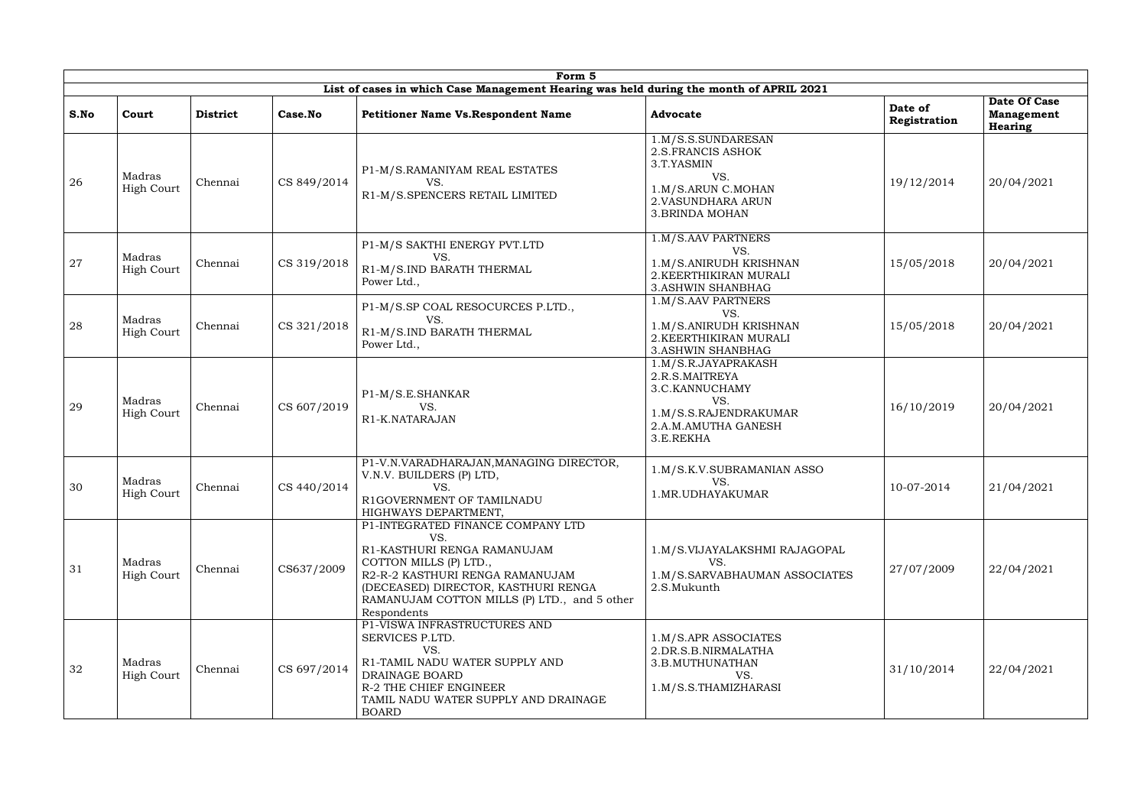|      |                             |                 |             | Form 5                                                                                                                                                                                                                                     |                                                                                                                                   |                         |                                              |
|------|-----------------------------|-----------------|-------------|--------------------------------------------------------------------------------------------------------------------------------------------------------------------------------------------------------------------------------------------|-----------------------------------------------------------------------------------------------------------------------------------|-------------------------|----------------------------------------------|
|      |                             |                 |             | List of cases in which Case Management Hearing was held during the month of APRIL 2021                                                                                                                                                     |                                                                                                                                   |                         |                                              |
| S.No | Court                       | <b>District</b> | Case.No     | <b>Petitioner Name Vs. Respondent Name</b>                                                                                                                                                                                                 | <b>Advocate</b>                                                                                                                   | Date of<br>Registration | Date Of Case<br><b>Management</b><br>Hearing |
| 26   | Madras<br><b>High Court</b> | Chennai         | CS 849/2014 | P1-M/S.RAMANIYAM REAL ESTATES<br>VS.<br>R1-M/S.SPENCERS RETAIL LIMITED                                                                                                                                                                     | 1.M/S.S.SUNDARESAN<br>2.S.FRANCIS ASHOK<br>3.T.YASMIN<br>VS.<br>1.M/S.ARUN C.MOHAN<br>2. VASUNDHARA ARUN<br><b>3.BRINDA MOHAN</b> | 19/12/2014              | 20/04/2021                                   |
| 27   | Madras<br>High Court        | Chennai         | CS 319/2018 | P1-M/S SAKTHI ENERGY PVT.LTD<br>VS.<br>R1-M/S.IND BARATH THERMAL<br>Power Ltd.,                                                                                                                                                            | 1.M/S.AAV PARTNERS<br>VS.<br>1.M/S.ANIRUDH KRISHNAN<br>2. KEERTHIKIRAN MURALI<br><b>3.ASHWIN SHANBHAG</b>                         | 15/05/2018              | 20/04/2021                                   |
| 28   | Madras<br><b>High Court</b> | Chennai         | CS 321/2018 | P1-M/S.SP COAL RESOCURCES P.LTD.,<br>VS.<br>R1-M/S.IND BARATH THERMAL<br>Power Ltd.,                                                                                                                                                       | 1.M/S.AAV PARTNERS<br>VS.<br>1.M/S.ANIRUDH KRISHNAN<br>2. KEERTHIKIRAN MURALI<br><b>3. ASHWIN SHANBHAG</b>                        | 15/05/2018              | 20/04/2021                                   |
| 29   | Madras<br><b>High Court</b> | Chennai         | CS 607/2019 | P1-M/S.E.SHANKAR<br>VS.<br>R1-K.NATARAJAN                                                                                                                                                                                                  | 1.M/S.R.JAYAPRAKASH<br>2.R.S.MAITREYA<br>3.C.KANNUCHAMY<br>VS.<br>1.M/S.S.RAJENDRAKUMAR<br>2.A.M.AMUTHA GANESH<br>3.E.REKHA       | 16/10/2019              | 20/04/2021                                   |
| 30   | Madras<br><b>High Court</b> | Chennai         | CS 440/2014 | P1-V.N.VARADHARAJAN, MANAGING DIRECTOR,<br>V.N.V. BUILDERS (P) LTD,<br>VS.<br>R1GOVERNMENT OF TAMILNADU<br>HIGHWAYS DEPARTMENT,                                                                                                            | 1.M/S.K.V.SUBRAMANIAN ASSO<br>VS.<br>1.MR.UDHAYAKUMAR                                                                             | 10-07-2014              | 21/04/2021                                   |
| 31   | Madras<br><b>High Court</b> | Chennai         | CS637/2009  | P1-INTEGRATED FINANCE COMPANY LTD<br>VS.<br>R1-KASTHURI RENGA RAMANUJAM<br>COTTON MILLS (P) LTD.,<br>R2-R-2 KASTHURI RENGA RAMANUJAM<br>(DECEASED) DIRECTOR, KASTHURI RENGA<br>RAMANUJAM COTTON MILLS (P) LTD., and 5 other<br>Respondents | 1.M/S.VIJAYALAKSHMI RAJAGOPAL<br>VS.<br>1.M/S.SARVABHAUMAN ASSOCIATES<br>2.S.Mukunth                                              | 27/07/2009              | 22/04/2021                                   |
| 32   | Madras<br><b>High Court</b> | Chennai         | CS 697/2014 | P1-VISWA INFRASTRUCTURES AND<br>SERVICES P.LTD.<br>VS.<br>R1-TAMIL NADU WATER SUPPLY AND<br>DRAINAGE BOARD<br>R-2 THE CHIEF ENGINEER<br>TAMIL NADU WATER SUPPLY AND DRAINAGE<br><b>BOARD</b>                                               | 1.M/S.APR ASSOCIATES<br>2.DR.S.B.NIRMALATHA<br>3.B.MUTHUNATHAN<br>VS.<br>1.M/S.S.THAMIZHARASI                                     | 31/10/2014              | 22/04/2021                                   |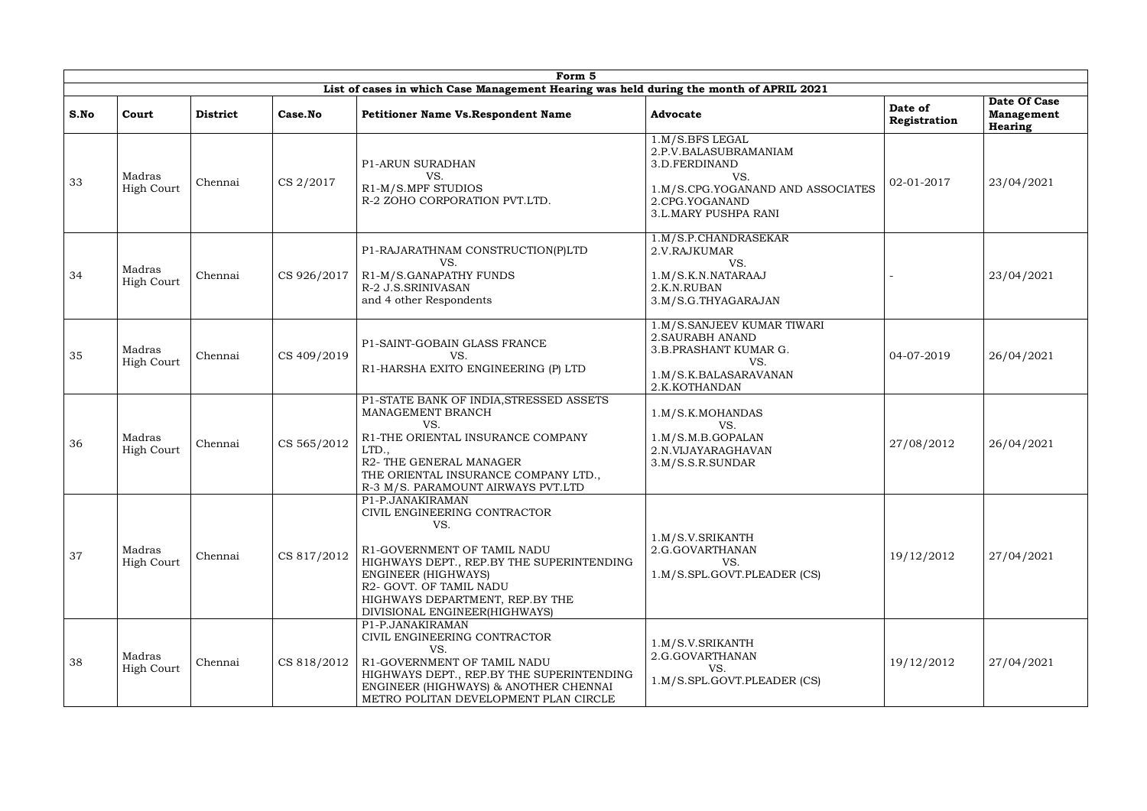|      |                             |                 |             | Form 5                                                                                                                                                                                                                                                    |                                                                                                                                                        |                         |                                              |
|------|-----------------------------|-----------------|-------------|-----------------------------------------------------------------------------------------------------------------------------------------------------------------------------------------------------------------------------------------------------------|--------------------------------------------------------------------------------------------------------------------------------------------------------|-------------------------|----------------------------------------------|
|      |                             |                 |             | List of cases in which Case Management Hearing was held during the month of APRIL 2021                                                                                                                                                                    |                                                                                                                                                        |                         |                                              |
| S.No | Court                       | <b>District</b> | Case.No     | <b>Petitioner Name Vs. Respondent Name</b>                                                                                                                                                                                                                | <b>Advocate</b>                                                                                                                                        | Date of<br>Registration | Date Of Case<br><b>Management</b><br>Hearing |
| 33   | Madras<br><b>High Court</b> | Chennai         | CS 2/2017   | <b>P1-ARUN SURADHAN</b><br>VS.<br>R1-M/S.MPF STUDIOS<br>R-2 ZOHO CORPORATION PVT.LTD.                                                                                                                                                                     | 1.M/S.BFS LEGAL<br>2.P.V.BALASUBRAMANIAM<br>3.D.FERDINAND<br>VS.<br>1.M/S.CPG.YOGANAND AND ASSOCIATES<br>2.CPG.YOGANAND<br><b>3.L.MARY PUSHPA RANI</b> | 02-01-2017              | 23/04/2021                                   |
| 34   | Madras<br><b>High Court</b> | Chennai         | CS 926/2017 | P1-RAJARATHNAM CONSTRUCTION(P)LTD<br>VS.<br>R1-M/S.GANAPATHY FUNDS<br>R-2 J.S.SRINIVASAN<br>and 4 other Respondents                                                                                                                                       | 1.M/S.P.CHANDRASEKAR<br>2.V.RAJKUMAR<br>VS.<br>1.M/S.K.N.NATARAAJ<br>2.K.N.RUBAN<br>3.M/S.G.THYAGARAJAN                                                |                         | 23/04/2021                                   |
| 35   | Madras<br><b>High Court</b> | Chennai         | CS 409/2019 | P1-SAINT-GOBAIN GLASS FRANCE<br>VS.<br>R1-HARSHA EXITO ENGINEERING (P) LTD                                                                                                                                                                                | 1.M/S.SANJEEV KUMAR TIWARI<br>2. SAURABH ANAND<br>3.B.PRASHANT KUMAR G.<br>VS.<br>1.M/S.K.BALASARAVANAN<br>2.K.KOTHANDAN                               | 04-07-2019              | 26/04/2021                                   |
| 36   | Madras<br>High Court        | Chennai         | CS 565/2012 | P1-STATE BANK OF INDIA, STRESSED ASSETS<br>MANAGEMENT BRANCH<br>VS.<br>R1-THE ORIENTAL INSURANCE COMPANY<br>LTD.,<br>R2- THE GENERAL MANAGER<br>THE ORIENTAL INSURANCE COMPANY LTD.,<br>R-3 M/S. PARAMOUNT AIRWAYS PVT.LTD                                | 1.M/S.K.MOHANDAS<br>VS.<br>1.M/S.M.B.GOPALAN<br>2.N.VIJAYARAGHAVAN<br>3.M/S.S.R.SUNDAR                                                                 | 27/08/2012              | 26/04/2021                                   |
| 37   | Madras<br><b>High Court</b> | Chennai         | CS 817/2012 | P1-P.JANAKIRAMAN<br>CIVIL ENGINEERING CONTRACTOR<br>VS.<br>R1-GOVERNMENT OF TAMIL NADU<br>HIGHWAYS DEPT., REP.BY THE SUPERINTENDING<br>ENGINEER (HIGHWAYS)<br>R2- GOVT. OF TAMIL NADU<br>HIGHWAYS DEPARTMENT, REP.BY THE<br>DIVISIONAL ENGINEER(HIGHWAYS) | 1.M/S.V.SRIKANTH<br>2.G.GOVARTHANAN<br>VS.<br>1.M/S.SPL.GOVT.PLEADER (CS)                                                                              | 19/12/2012              | 27/04/2021                                   |
| 38   | Madras<br><b>High Court</b> | Chennai         | CS 818/2012 | P1-P.JANAKIRAMAN<br>CIVIL ENGINEERING CONTRACTOR<br>VS.<br>R1-GOVERNMENT OF TAMIL NADU<br>HIGHWAYS DEPT., REP.BY THE SUPERINTENDING<br>ENGINEER (HIGHWAYS) & ANOTHER CHENNAI<br>METRO POLITAN DEVELOPMENT PLAN CIRCLE                                     | 1.M/S.V.SRIKANTH<br>2.G.GOVARTHANAN<br>VS.<br>1.M/S.SPL.GOVT.PLEADER (CS)                                                                              | 19/12/2012              | 27/04/2021                                   |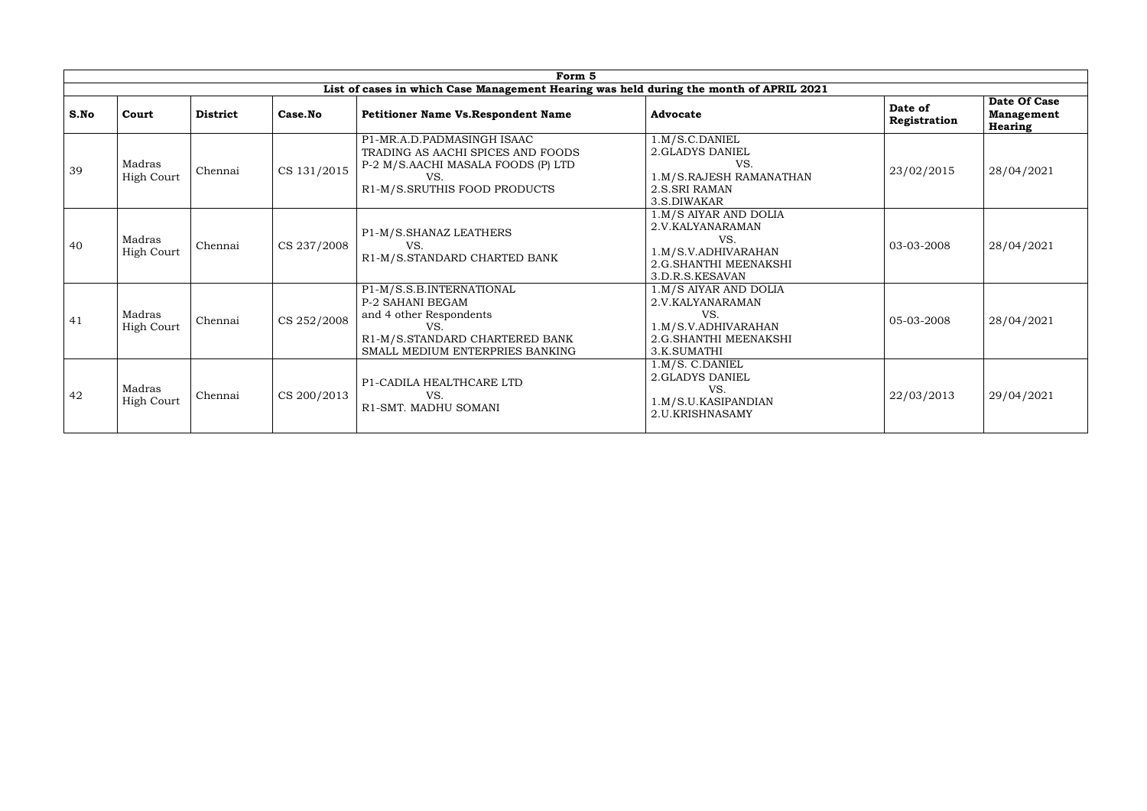|      | Form 5<br>List of cases in which Case Management Hearing was held during the month of APRIL 2021 |                 |             |                                                                                                                                                     |                                                                                                                     |                         |                                              |  |  |  |  |  |
|------|--------------------------------------------------------------------------------------------------|-----------------|-------------|-----------------------------------------------------------------------------------------------------------------------------------------------------|---------------------------------------------------------------------------------------------------------------------|-------------------------|----------------------------------------------|--|--|--|--|--|
|      |                                                                                                  |                 |             |                                                                                                                                                     |                                                                                                                     |                         |                                              |  |  |  |  |  |
| S.No | Court                                                                                            | <b>District</b> | Case.No     | <b>Petitioner Name Vs. Respondent Name</b>                                                                                                          | <b>Advocate</b>                                                                                                     | Date of<br>Registration | Date Of Case<br><b>Management</b><br>Hearing |  |  |  |  |  |
| 39   | Madras<br><b>High Court</b>                                                                      | Chennai         | CS 131/2015 | P1-MR.A.D.PADMASINGH ISAAC<br>TRADING AS AACHI SPICES AND FOODS<br>P-2 M/S.AACHI MASALA FOODS (P) LTD<br>VS.<br>R1-M/S.SRUTHIS FOOD PRODUCTS        | 1.M/S.C.DANIEL<br>2.GLADYS DANIEL<br>VS.<br>1.M/S.RAJESH RAMANATHAN<br>2.S.SRI RAMAN<br>3.S.DIWAKAR                 | 23/02/2015              | 28/04/2021                                   |  |  |  |  |  |
| 40   | Madras<br><b>High Court</b>                                                                      | Chennai         | CS 237/2008 | P1-M/S.SHANAZ LEATHERS<br>VS.<br>R1-M/S.STANDARD CHARTED BANK                                                                                       | 1.M/S AIYAR AND DOLIA<br>2.V.KALYANARAMAN<br>VS.<br>1.M/S.V.ADHIVARAHAN<br>2.G.SHANTHI MEENAKSHI<br>3.D.R.S.KESAVAN | 03-03-2008              | 28/04/2021                                   |  |  |  |  |  |
| 41   | Madras<br><b>High Court</b>                                                                      | Chennai         | CS 252/2008 | P1-M/S.S.B.INTERNATIONAL<br>P-2 SAHANI BEGAM<br>and 4 other Respondents<br>VS.<br>R1-M/S.STANDARD CHARTERED BANK<br>SMALL MEDIUM ENTERPRIES BANKING | 1.M/S AIYAR AND DOLIA<br>2.V.KALYANARAMAN<br>VS.<br>1.M/S.V.ADHIVARAHAN<br>2.G.SHANTHI MEENAKSHI<br>3.K.SUMATHI     | 05-03-2008              | 28/04/2021                                   |  |  |  |  |  |
| 42   | Madras<br>High Court                                                                             | Chennai         | CS 200/2013 | P1-CADILA HEALTHCARE LTD<br>VS.<br>R1-SMT. MADHU SOMANI                                                                                             | 1.M/S. C.DANIEL<br>2.GLADYS DANIEL<br>VS.<br>1.M/S.U.KASIPANDIAN<br>2.U.KRISHNASAMY                                 | 22/03/2013              | 29/04/2021                                   |  |  |  |  |  |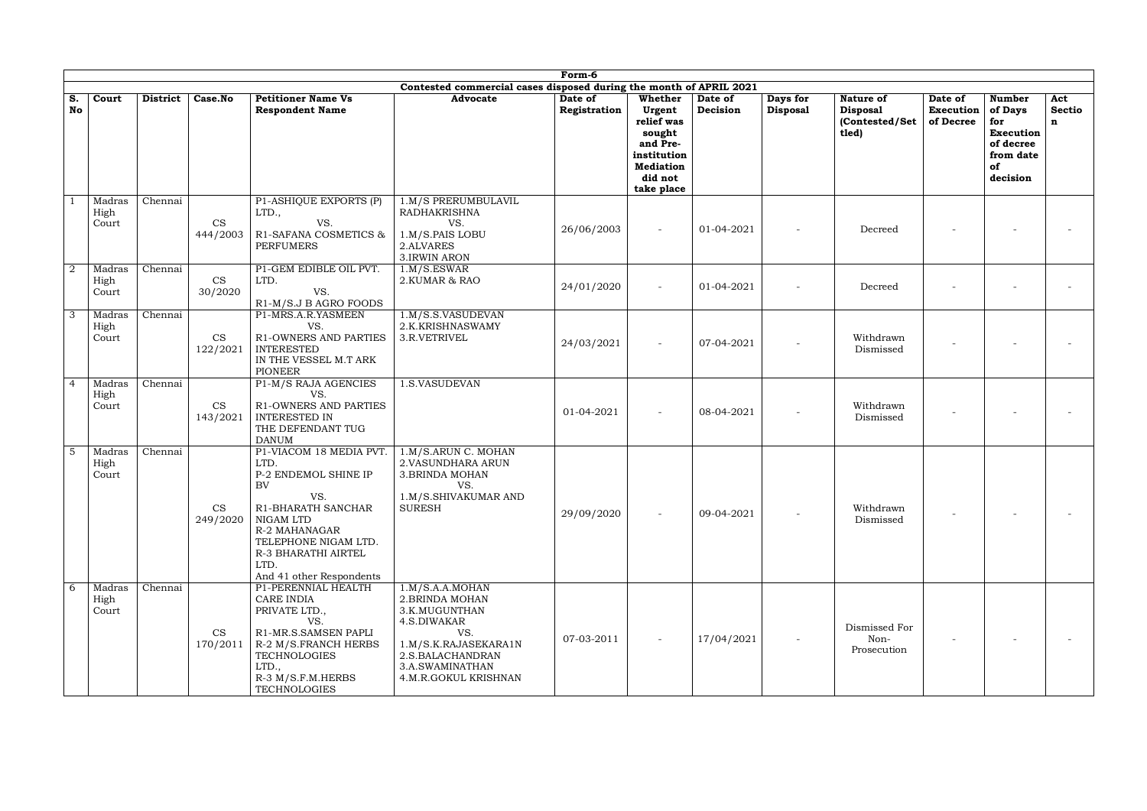|                |                         |                 |                       |                                                                                                                                                                                                             |                                                                                                                                                                  | Form-6                  |                                                                                                                   |                     |                             |                                                         |                                   |                                                                                                 |                                     |
|----------------|-------------------------|-----------------|-----------------------|-------------------------------------------------------------------------------------------------------------------------------------------------------------------------------------------------------------|------------------------------------------------------------------------------------------------------------------------------------------------------------------|-------------------------|-------------------------------------------------------------------------------------------------------------------|---------------------|-----------------------------|---------------------------------------------------------|-----------------------------------|-------------------------------------------------------------------------------------------------|-------------------------------------|
| S.<br>No       | Court                   | <b>District</b> | Case.No               | <b>Petitioner Name Vs</b><br><b>Respondent Name</b>                                                                                                                                                         | Contested commercial cases disposed during the month of APRIL 2021<br><b>Advocate</b>                                                                            | Date of<br>Registration | Whether<br>Urgent<br>relief was<br>sought<br>and Pre-<br>institution<br><b>Mediation</b><br>did not<br>take place | Date of<br>Decision | Days for<br><b>Disposal</b> | Nature of<br><b>Disposal</b><br>(Contested/Set<br>tled) | Date of<br>Execution<br>of Decree | <b>Number</b><br>of Days<br>for<br><b>Execution</b><br>of decree<br>from date<br>of<br>decision | Act<br><b>Sectio</b><br>$\mathbf n$ |
|                | Madras<br>High<br>Court | Chennai         | <b>CS</b><br>444/2003 | P1-ASHIQUE EXPORTS (P)<br>LTD.,<br>VS.<br>R1-SAFANA COSMETICS &<br><b>PERFUMERS</b>                                                                                                                         | 1.M/S PRERUMBULAVIL<br><b>RADHAKRISHNA</b><br>VS.<br>1.M/S.PAIS LOBU<br>2.ALVARES<br>3.IRWIN ARON                                                                | 26/06/2003              |                                                                                                                   | 01-04-2021          |                             | Decreed                                                 |                                   |                                                                                                 |                                     |
| $\overline{2}$ | Madras<br>High<br>Court | Chennai         | <b>CS</b><br>30/2020  | P1-GEM EDIBLE OIL PVT.<br>LTD.<br>VS.<br>R1-M/S.J B AGRO FOODS                                                                                                                                              | 1.M/S.ESWAR<br>2.KUMAR & RAO                                                                                                                                     | 24/01/2020              |                                                                                                                   | 01-04-2021          |                             | Decreed                                                 |                                   |                                                                                                 |                                     |
| 3              | Madras<br>High<br>Court | Chennai         | CS<br>122/2021        | P1-MRS.A.R.YASMEEN<br>VS.<br>R1-OWNERS AND PARTIES<br><b>INTERESTED</b><br>IN THE VESSEL M.T ARK<br><b>PIONEER</b>                                                                                          | 1.M/S.S.VASUDEVAN<br>2.K.KRISHNASWAMY<br>3.R.VETRIVEL                                                                                                            | 24/03/2021              |                                                                                                                   | 07-04-2021          |                             | Withdrawn<br>Dismissed                                  |                                   |                                                                                                 |                                     |
| $\overline{4}$ | Madras<br>High<br>Court | Chennai         | <b>CS</b><br>143/2021 | P1-M/S RAJA AGENCIES<br>VS.<br>R1-OWNERS AND PARTIES<br><b>INTERESTED IN</b><br>THE DEFENDANT TUG<br><b>DANUM</b>                                                                                           | <b>.S.VASUDEVAN</b>                                                                                                                                              | 01-04-2021              |                                                                                                                   | 08-04-2021          |                             | Withdrawn<br>Dismissed                                  |                                   |                                                                                                 |                                     |
| -5             | Madras<br>High<br>Court | Chennai         | CS<br>249/2020        | P1-VIACOM 18 MEDIA PVT.<br>LTD.<br>P-2 ENDEMOL SHINE IP<br>BV<br>VS.<br>R1-BHARATH SANCHAR<br>NIGAM LTD<br>R-2 MAHANAGAR<br>TELEPHONE NIGAM LTD.<br>R-3 BHARATHI AIRTEL<br>LTD.<br>And 41 other Respondents | 1.M/S.ARUN C. MOHAN<br>2. VASUNDHARA ARUN<br><b>3.BRINDA MOHAN</b><br>VS.<br>1.M/S.SHIVAKUMAR AND<br><b>SURESH</b>                                               | 29/09/2020              |                                                                                                                   | 09-04-2021          |                             | Withdrawn<br>Dismissed                                  |                                   |                                                                                                 |                                     |
| 6              | Madras<br>High<br>Court | Chennai         | CS<br>170/2011        | P1-PERENNIAL HEALTH<br>CARE INDIA<br>PRIVATE LTD.,<br>VS.<br>R1-MR.S.SAMSEN PAPLI<br>R-2 M/S.FRANCH HERBS<br><b>TECHNOLOGIES</b><br>LTD.,<br>R-3 M/S.F.M.HERBS<br><b>TECHNOLOGIES</b>                       | 1.M/S.A.A.MOHAN<br>2. BRINDA MOHAN<br>3.K.MUGUNTHAN<br>4.S.DIWAKAR<br>VS.<br>1.M/S.K.RAJASEKARA1N<br>2.S.BALACHANDRAN<br>3.A.SWAMINATHAN<br>4.M.R.GOKUL KRISHNAN | 07-03-2011              |                                                                                                                   | 17/04/2021          |                             | Dismissed For<br>Non-<br>Prosecution                    |                                   |                                                                                                 |                                     |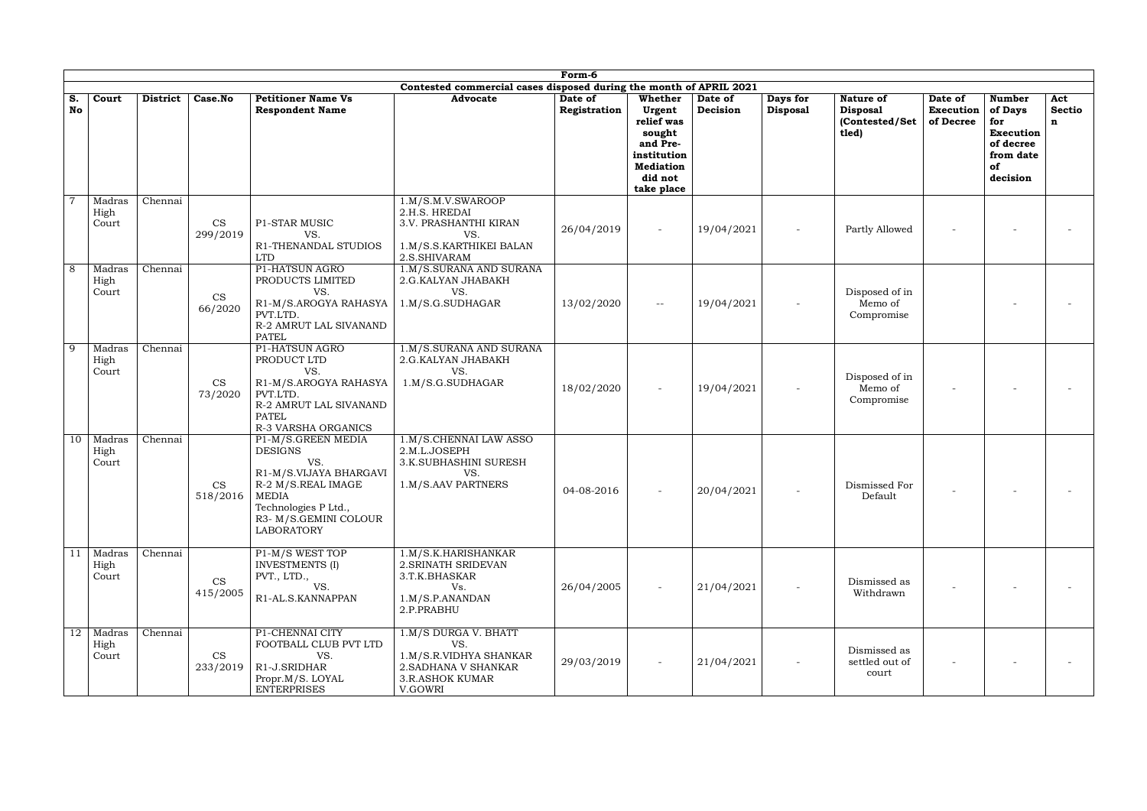|                 | Form-6<br>Contested commercial cases disposed during the month of APRIL 2021 |                 |                        |                                                                                                                                                                   |                                                                                                                    |                         |                                                                                                                   |                     |                             |                                                         |                                          |                                                                                                 |                           |
|-----------------|------------------------------------------------------------------------------|-----------------|------------------------|-------------------------------------------------------------------------------------------------------------------------------------------------------------------|--------------------------------------------------------------------------------------------------------------------|-------------------------|-------------------------------------------------------------------------------------------------------------------|---------------------|-----------------------------|---------------------------------------------------------|------------------------------------------|-------------------------------------------------------------------------------------------------|---------------------------|
|                 |                                                                              |                 |                        |                                                                                                                                                                   |                                                                                                                    |                         |                                                                                                                   |                     |                             |                                                         |                                          |                                                                                                 |                           |
| S.<br><b>No</b> | Court                                                                        | <b>District</b> | Case.No                | <b>Petitioner Name Vs</b><br><b>Respondent Name</b>                                                                                                               | <b>Advocate</b>                                                                                                    | Date of<br>Registration | Whether<br>Urgent<br>relief was<br>sought<br>and Pre-<br>institution<br><b>Mediation</b><br>did not<br>take place | Date of<br>Decision | Days for<br><b>Disposal</b> | Nature of<br><b>Disposal</b><br>(Contested/Set<br>tled) | Date of<br><b>Execution</b><br>of Decree | <b>Number</b><br>of Days<br>for<br><b>Execution</b><br>of decree<br>from date<br>of<br>decision | Act<br><b>Sectio</b><br>n |
|                 | Madras<br>High<br>Court                                                      | Chennai         | CS<br>299/2019         | P1-STAR MUSIC<br>VS.<br>R1-THENANDAL STUDIOS<br><b>LTD</b>                                                                                                        | 1.M/S.M.V.SWAROOP<br>2.H.S. HREDAI<br>3.V. PRASHANTHI KIRAN<br>VS.<br>1.M/S.S.KARTHIKEI BALAN<br>2.S.SHIVARAM      | 26/04/2019              |                                                                                                                   | 19/04/2021          |                             | Partly Allowed                                          |                                          |                                                                                                 |                           |
| 8               | Madras<br>High<br>Court                                                      | Chennai         | <b>CS</b><br>66/2020   | P1-HATSUN AGRO<br>PRODUCTS LIMITED<br>VS.<br>R1-M/S.AROGYA RAHASYA<br>PVT.LTD.<br>R-2 AMRUT LAL SIVANAND<br><b>PATEL</b>                                          | 1.M/S.SURANA AND SURANA<br>2.G.KALYAN JHABAKH<br>VS.<br>1.M/S.G.SUDHAGAR                                           | 13/02/2020              | $\overline{\phantom{m}}$                                                                                          | 19/04/2021          |                             | Disposed of in<br>Memo of<br>Compromise                 |                                          |                                                                                                 |                           |
| 9               | Madras<br>High<br>Court                                                      | Chennai         | <b>CS</b><br>73/2020   | P1-HATSUN AGRO<br>PRODUCT LTD<br>VS.<br>R1-M/S.AROGYA RAHASYA<br>PVT.LTD.<br>R-2 AMRUT LAL SIVANAND<br><b>PATEL</b><br>R-3 VARSHA ORGANICS                        | 1.M/S.SURANA AND SURANA<br>2.G.KALYAN JHABAKH<br>VS.<br>1.M/S.G.SUDHAGAR                                           | 18/02/2020              |                                                                                                                   | 19/04/2021          |                             | Disposed of in<br>Memo of<br>Compromise                 |                                          |                                                                                                 |                           |
| 10              | Madras<br>High<br>Court                                                      | Chennai         | CS<br>$518/2016$ MEDIA | P1-M/S.GREEN MEDIA<br><b>DESIGNS</b><br>VS.<br>R1-M/S.VIJAYA BHARGAVI<br>R-2 M/S.REAL IMAGE<br>Technologies P Ltd.,<br>R3- M/S.GEMINI COLOUR<br><b>LABORATORY</b> | 1.M/S.CHENNAI LAW ASSO<br>2.M.L.JOSEPH<br>3.K.SUBHASHINI SURESH<br>VS.<br>1.M/S.AAV PARTNERS                       | 04-08-2016              |                                                                                                                   | 20/04/2021          |                             | Dismissed For<br>Default                                |                                          |                                                                                                 |                           |
| 11              | Madras<br>High<br>Court                                                      | Chennai         | <b>CS</b><br>415/2005  | P1-M/S WEST TOP<br><b>INVESTMENTS</b> (I)<br>PVT., LTD.,<br>VS.<br>R1-AL.S.KANNAPPAN                                                                              | 1.M/S.K.HARISHANKAR<br>2. SRINATH SRIDEVAN<br>3.T.K.BHASKAR<br>Vs.<br>1.M/S.P.ANANDAN<br>2.P.PRABHU                | 26/04/2005              |                                                                                                                   | 21/04/2021          |                             | Dismissed as<br>Withdrawn                               |                                          |                                                                                                 |                           |
|                 | 12 Madras<br>High<br>Court                                                   | Chennai         | <b>CS</b><br>233/2019  | P1-CHENNAI CITY<br>FOOTBALL CLUB PVT LTD<br>VS.<br>R1-J.SRIDHAR<br>Propr.M/S. LOYAL<br><b>ENTERPRISES</b>                                                         | 1.M/S DURGA V. BHATT<br>VS.<br>1.M/S.R.VIDHYA SHANKAR<br>2. SADHANA V SHANKAR<br><b>3.R.ASHOK KUMAR</b><br>V.GOWRI | 29/03/2019              |                                                                                                                   | 21/04/2021          |                             | Dismissed as<br>settled out of<br>court                 |                                          |                                                                                                 |                           |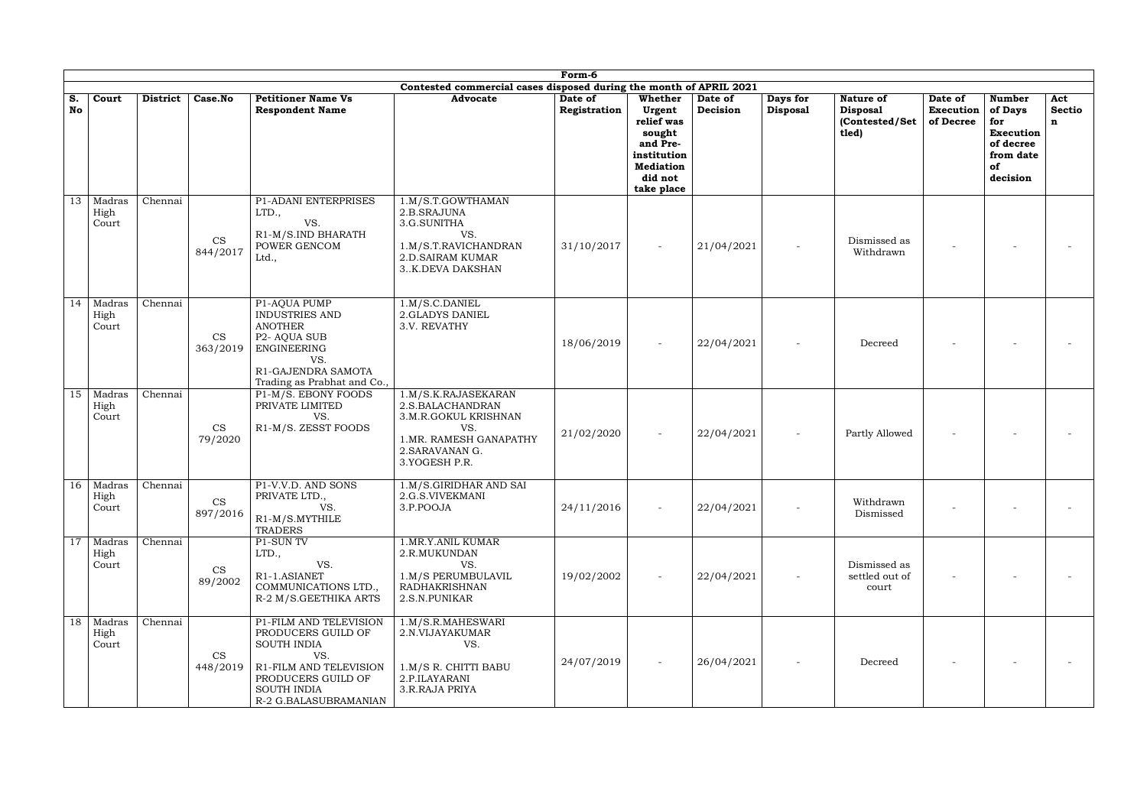|          |                                         |                 |                                        |                                                                                                                                                                          |                                                                                                                                      | Form-6                  |                                                                                                                   |                     |                             |                                                                |                                   |                                                                                                 |                                     |
|----------|-----------------------------------------|-----------------|----------------------------------------|--------------------------------------------------------------------------------------------------------------------------------------------------------------------------|--------------------------------------------------------------------------------------------------------------------------------------|-------------------------|-------------------------------------------------------------------------------------------------------------------|---------------------|-----------------------------|----------------------------------------------------------------|-----------------------------------|-------------------------------------------------------------------------------------------------|-------------------------------------|
| S.<br>No | Court                                   | <b>District</b> | Case.No                                | <b>Petitioner Name Vs</b><br><b>Respondent Name</b>                                                                                                                      | Contested commercial cases disposed during the month of APRIL 2021<br><b>Advocate</b>                                                | Date of<br>Registration | Whether<br>Urgent<br>relief was<br>sought<br>and Pre-<br>institution<br><b>Mediation</b><br>did not<br>take place | Date of<br>Decision | Days for<br><b>Disposal</b> | <b>Nature of</b><br><b>Disposal</b><br>(Contested/Set<br>tled) | Date of<br>Execution<br>of Decree | <b>Number</b><br>of Days<br>for<br><b>Execution</b><br>of decree<br>from date<br>of<br>decision | Act<br><b>Sectio</b><br>$\mathbf n$ |
| 13       | Madras<br>High<br>Court                 | Chennai         | CS<br>844/2017                         | P1-ADANI ENTERPRISES<br>LTD.,<br>VS.<br>R1-M/S.IND BHARATH<br>POWER GENCOM<br>Ltd.,                                                                                      | 1.M/S.T.GOWTHAMAN<br>2.B.SRAJUNA<br>3.G.SUNITHA<br>VS.<br>1.M/S.T.RAVICHANDRAN<br><b>2.D.SAIRAM KUMAR</b><br>3K.DEVA DAKSHAN         | 31/10/2017              |                                                                                                                   | 21/04/2021          |                             | Dismissed as<br>Withdrawn                                      |                                   |                                                                                                 |                                     |
| 14       | Madras<br>High<br>Court                 | Chennai         | <b>CS</b><br>363/2019                  | P1-AQUA PUMP<br><b>INDUSTRIES AND</b><br><b>ANOTHER</b><br>P <sub>2</sub> - AQUA SUB<br><b>ENGINEERING</b><br>VS.<br>R1-GAJENDRA SAMOTA<br>Trading as Prabhat and Co.,   | 1.M/S.C.DANIEL<br>2.GLADYS DANIEL<br>3.V. REVATHY                                                                                    | 18/06/2019              |                                                                                                                   | 22/04/2021          |                             | Decreed                                                        |                                   |                                                                                                 |                                     |
| 15       | Madras<br>High<br>Court                 | Chennai         | <b>CS</b><br>79/2020                   | P1-M/S. EBONY FOODS<br>PRIVATE LIMITED<br>VS.<br>R1-M/S. ZESST FOODS                                                                                                     | 1.M/S.K.RAJASEKARAN<br>2.S.BALACHANDRAN<br>3.M.R.GOKUL KRISHNAN<br>VS.<br>1.MR. RAMESH GANAPATHY<br>2. SARAVANAN G.<br>3.YOGESH P.R. | 21/02/2020              |                                                                                                                   | 22/04/2021          |                             | Partly Allowed                                                 |                                   |                                                                                                 |                                     |
| 16       | Madras<br>High<br>Court                 | Chennai         | $\mathop{\rm CS}\nolimits$<br>897/2016 | P1-V.V.D. AND SONS<br>PRIVATE LTD.,<br>VS.<br>R1-M/S.MYTHILE<br><b>TRADERS</b>                                                                                           | 1.M/S.GIRIDHAR AND SAI<br>2.G.S.VIVEKMANI<br>3.P.POOJA                                                                               | 24/11/2016              |                                                                                                                   | 22/04/2021          |                             | Withdrawn<br>Dismissed                                         |                                   |                                                                                                 |                                     |
| 17       | Madras<br>High<br>Court                 | Chennai         | <b>CS</b><br>89/2002                   | P1-SUN TV<br>LTD.,<br>VS.<br>R1-1.ASIANET<br>COMMUNICATIONS LTD.,<br>R-2 M/S.GEETHIKA ARTS                                                                               | 1.MR.Y.ANIL KUMAR<br>2.R.MUKUNDAN<br>VS.<br>1.M/S PERUMBULAVIL<br><b>RADHAKRISHNAN</b><br>2.S.N.PUNIKAR                              | 19/02/2002              |                                                                                                                   | 22/04/2021          |                             | Dismissed as<br>settled out of<br>court                        |                                   |                                                                                                 |                                     |
|          | $\overline{18}$ Madras<br>High<br>Court | Chennai         | <b>CS</b><br>448/2019                  | P1-FILM AND TELEVISION<br>PRODUCERS GUILD OF<br><b>SOUTH INDIA</b><br>VS.<br>R1-FILM AND TELEVISION<br>PRODUCERS GUILD OF<br><b>SOUTH INDIA</b><br>R-2 G.BALASUBRAMANIAN | 1.M/S.R.MAHESWARI<br>2.N.VIJAYAKUMAR<br>VS.<br>1.M/S R. CHITTI BABU<br>2.P.ILAYARANI<br>3.R.RAJA PRIYA                               | 24/07/2019              |                                                                                                                   | 26/04/2021          |                             | Decreed                                                        |                                   |                                                                                                 |                                     |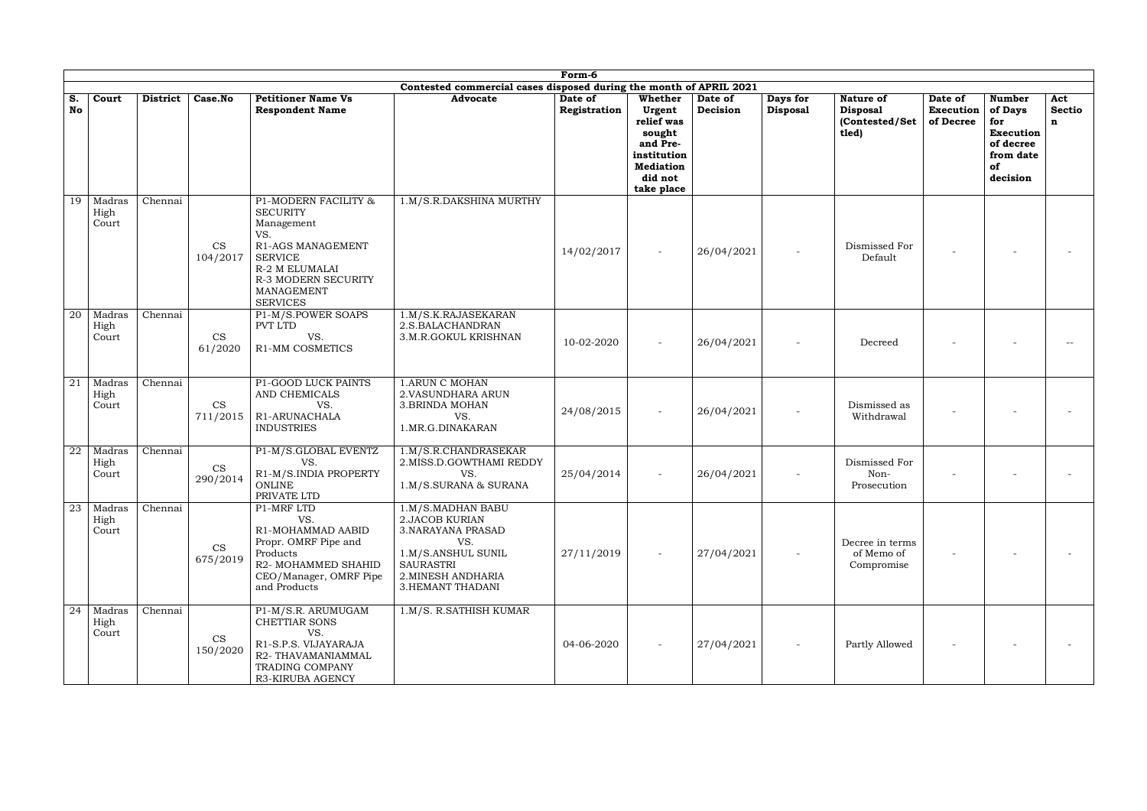|                 | Form-6<br>Contested commercial cases disposed during the month of APRIL 2021 |                 |                       |                                                                                                                                                                                      |                                                                                                                                                                    |                         |                                                                                                                   |                     |                             |                                                         |                                          |                                                                                                 |                                     |
|-----------------|------------------------------------------------------------------------------|-----------------|-----------------------|--------------------------------------------------------------------------------------------------------------------------------------------------------------------------------------|--------------------------------------------------------------------------------------------------------------------------------------------------------------------|-------------------------|-------------------------------------------------------------------------------------------------------------------|---------------------|-----------------------------|---------------------------------------------------------|------------------------------------------|-------------------------------------------------------------------------------------------------|-------------------------------------|
|                 |                                                                              |                 |                       |                                                                                                                                                                                      |                                                                                                                                                                    |                         |                                                                                                                   |                     |                             |                                                         |                                          |                                                                                                 |                                     |
| S.<br>No        | Court                                                                        | <b>District</b> | Case.No               | <b>Petitioner Name Vs</b><br><b>Respondent Name</b>                                                                                                                                  | <b>Advocate</b>                                                                                                                                                    | Date of<br>Registration | Whether<br>Urgent<br>relief was<br>sought<br>and Pre-<br>institution<br><b>Mediation</b><br>did not<br>take place | Date of<br>Decision | Days for<br><b>Disposal</b> | Nature of<br><b>Disposal</b><br>(Contested/Set<br>tled) | Date of<br><b>Execution</b><br>of Decree | <b>Number</b><br>of Days<br>for<br><b>Execution</b><br>of decree<br>from date<br>of<br>decision | Act<br><b>Sectio</b><br>$\mathbf n$ |
| 19              | Madras<br>High<br>Court                                                      | Chennai         | <b>CS</b><br>104/2017 | P1-MODERN FACILITY &<br><b>SECURITY</b><br>Management<br>VS.<br>R1-AGS MANAGEMENT<br><b>SERVICE</b><br>R-2 M ELUMALAI<br><b>R-3 MODERN SECURITY</b><br>MANAGEMENT<br><b>SERVICES</b> | 1.M/S.R.DAKSHINA MURTHY                                                                                                                                            | 14/02/2017              |                                                                                                                   | 26/04/2021          |                             | Dismissed For<br>Default                                |                                          |                                                                                                 |                                     |
| $\overline{20}$ | Madras<br>High<br>Court                                                      | Chennai         | <b>CS</b><br>61/2020  | P1-M/S.POWER SOAPS<br><b>PVT LTD</b><br>VS.<br><b>R1-MM COSMETICS</b>                                                                                                                | 1.M/S.K.RAJASEKARAN<br>2.S.BALACHANDRAN<br>3.M.R.GOKUL KRISHNAN                                                                                                    | 10-02-2020              |                                                                                                                   | 26/04/2021          |                             | Decreed                                                 |                                          |                                                                                                 |                                     |
| 21              | Madras<br>High<br>Court                                                      | Chennai         | <b>CS</b><br>711/2015 | P1-GOOD LUCK PAINTS<br>AND CHEMICALS<br>VS.<br>R1-ARUNACHALA<br><b>INDUSTRIES</b>                                                                                                    | <b>1.ARUN C MOHAN</b><br>2. VASUNDHARA ARUN<br>3. BRINDA MOHAN<br>VS.<br>1.MR.G.DINAKARAN                                                                          | 24/08/2015              |                                                                                                                   | 26/04/2021          |                             | Dismissed as<br>Withdrawal                              |                                          |                                                                                                 |                                     |
| 22              | Madras<br>High<br>Court                                                      | Chennai         | <b>CS</b><br>290/2014 | P1-M/S.GLOBAL EVENTZ<br>VS.<br>R1-M/S.INDIA PROPERTY<br>ONLINE<br>PRIVATE LTD                                                                                                        | 1.M/S.R.CHANDRASEKAR<br>2. MISS.D.GOWTHAMI REDDY<br>VS.<br>1.M/S.SURANA & SURANA                                                                                   | 25/04/2014              |                                                                                                                   | 26/04/2021          |                             | Dismissed For<br>Non-<br>Prosecution                    |                                          |                                                                                                 |                                     |
| 23              | Madras<br>High<br>Court                                                      | Chennai         | CS<br>675/2019        | P1-MRF LTD<br>VS.<br>R1-MOHAMMAD AABID<br>Propr. OMRF Pipe and<br>Products<br>R2- MOHAMMED SHAHID<br>CEO/Manager, OMRF Pipe<br>and Products                                          | 1.M/S.MADHAN BABU<br><b>2.JACOB KURIAN</b><br>3. NARAYANA PRASAD<br>VS.<br>1.M/S.ANSHUL SUNIL<br><b>SAURASTRI</b><br>2. MINESH ANDHARIA<br><b>3.HEMANT THADANI</b> | 27/11/2019              |                                                                                                                   | 27/04/2021          |                             | Decree in terms<br>of Memo of<br>Compromise             |                                          |                                                                                                 |                                     |
| 24              | Madras<br>High<br>Court                                                      | Chennai         | <b>CS</b><br>150/2020 | P1-M/S.R. ARUMUGAM<br>CHETTIAR SONS<br>VS.<br>R1-S.P.S. VIJAYARAJA<br>R2-THAVAMANIAMMAL<br><b>TRADING COMPANY</b><br>R3-KIRUBA AGENCY                                                | 1.M/S. R.SATHISH KUMAR                                                                                                                                             | 04-06-2020              |                                                                                                                   | 27/04/2021          |                             | Partly Allowed                                          |                                          |                                                                                                 |                                     |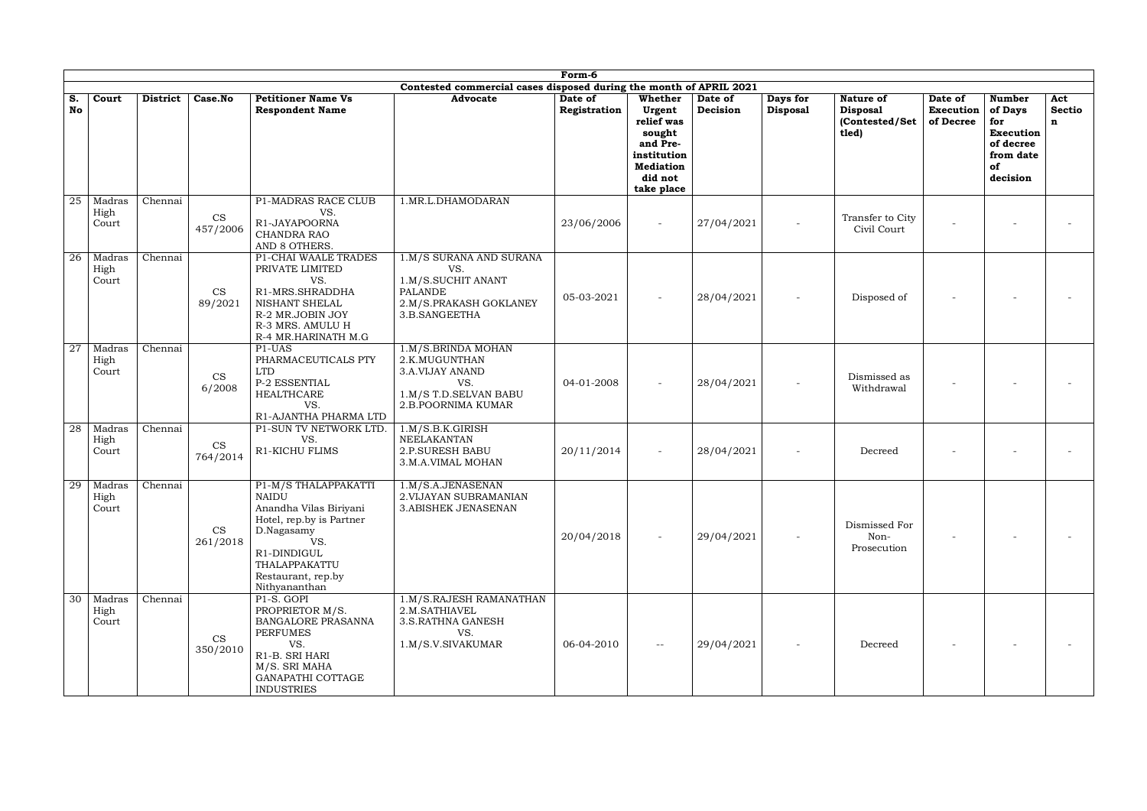|                 | Form-6<br>Contested commercial cases disposed during the month of APRIL 2021 |                 |                       |                                                                                                                                                                                        |                                                                                                                   |                         |                                                                                                                   |                     |                             |                                                         |                                          |                                                                                                 |                           |
|-----------------|------------------------------------------------------------------------------|-----------------|-----------------------|----------------------------------------------------------------------------------------------------------------------------------------------------------------------------------------|-------------------------------------------------------------------------------------------------------------------|-------------------------|-------------------------------------------------------------------------------------------------------------------|---------------------|-----------------------------|---------------------------------------------------------|------------------------------------------|-------------------------------------------------------------------------------------------------|---------------------------|
|                 |                                                                              |                 |                       |                                                                                                                                                                                        |                                                                                                                   |                         |                                                                                                                   |                     |                             |                                                         |                                          |                                                                                                 |                           |
| S.<br>No        | Court                                                                        | <b>District</b> | Case.No               | <b>Petitioner Name Vs</b><br><b>Respondent Name</b>                                                                                                                                    | <b>Advocate</b>                                                                                                   | Date of<br>Registration | Whether<br>Urgent<br>relief was<br>sought<br>and Pre-<br>institution<br><b>Mediation</b><br>did not<br>take place | Date of<br>Decision | Days for<br><b>Disposal</b> | Nature of<br><b>Disposal</b><br>(Contested/Set<br>tled) | Date of<br><b>Execution</b><br>of Decree | <b>Number</b><br>of Days<br>for<br><b>Execution</b><br>of decree<br>from date<br>of<br>decision | Act<br><b>Sectio</b><br>n |
| 25              | Madras<br>High<br>Court                                                      | Chennai         | CS<br>457/2006        | P1-MADRAS RACE CLUB<br>VS.<br>R1-JAYAPOORNA<br>CHANDRA RAO<br>AND 8 OTHERS.                                                                                                            | 1.MR.L.DHAMODARAN                                                                                                 | 23/06/2006              | $\overline{\phantom{a}}$                                                                                          | 27/04/2021          |                             | Transfer to City<br>Civil Court                         |                                          |                                                                                                 |                           |
| $\overline{26}$ | Madras<br>High<br>Court                                                      | Chennai         | <b>CS</b><br>89/2021  | P1-CHAI WAALE TRADES<br>PRIVATE LIMITED<br>VS.<br>R1-MRS.SHRADDHA<br>NISHANT SHELAL<br>R-2 MR.JOBIN JOY<br>R-3 MRS. AMULU H<br>R-4 MR.HARINATH M.G                                     | 1.M/S SURANA AND SURANA<br>VS.<br>1.M/S.SUCHIT ANANT<br><b>PALANDE</b><br>2.M/S.PRAKASH GOKLANEY<br>3.B.SANGEETHA | 05-03-2021              |                                                                                                                   | 28/04/2021          |                             | Disposed of                                             |                                          |                                                                                                 |                           |
| 27              | Madras<br>High<br>Court                                                      | Chennai         | <b>CS</b><br>6/2008   | P1-UAS<br>PHARMACEUTICALS PTY<br><b>LTD</b><br>P-2 ESSENTIAL<br><b>HEALTHCARE</b><br>VS.<br>R1-AJANTHA PHARMA LTD                                                                      | 1.M/S.BRINDA MOHAN<br>2.K.MUGUNTHAN<br>3.A.VIJAY ANAND<br>VS.<br>1.M/S T.D.SELVAN BABU<br>2.B.POORNIMA KUMAR      | 04-01-2008              |                                                                                                                   | 28/04/2021          |                             | Dismissed as<br>Withdrawal                              |                                          |                                                                                                 |                           |
| 28              | Madras<br>High<br>Court                                                      | Chennai         | <b>CS</b><br>764/2014 | P1-SUN TV NETWORK LTD.<br>VS.<br><b>R1-KICHU FLIMS</b>                                                                                                                                 | 1.M/S.B.K.GIRISH<br>NEELAKANTAN<br><b>2.P.SURESH BABU</b><br>3.M.A.VIMAL MOHAN                                    | 20/11/2014              | $\overline{\phantom{a}}$                                                                                          | 28/04/2021          |                             | Decreed                                                 |                                          |                                                                                                 |                           |
| 29              | Madras<br>High<br>Court                                                      | Chennai         | CS<br>261/2018        | P1-M/S THALAPPAKATTI<br><b>NAIDU</b><br>Anandha Vilas Biriyani<br>Hotel, rep.by is Partner<br>D.Nagasamy<br>VS.<br>R1-DINDIGUL<br>THALAPPAKATTU<br>Restaurant, rep.by<br>Nithyananthan | 1.M/S.A.JENASENAN<br>2. VIJAYAN SUBRAMANIAN<br>3.ABISHEK JENASENAN                                                | 20/04/2018              |                                                                                                                   | 29/04/2021          |                             | Dismissed For<br>Non-<br>Prosecution                    |                                          |                                                                                                 |                           |
|                 | $\overline{30}$ Madras<br>High<br>Court                                      | Chennai         | <b>CS</b><br>350/2010 | P1-S. GOPI<br>PROPRIETOR M/S.<br>BANGALORE PRASANNA<br><b>PERFUMES</b><br>VS.<br>R1-B. SRI HARI<br>M/S. SRI MAHA<br>GANAPATHI COTTAGE<br><b>INDUSTRIES</b>                             | 1.M/S.RAJESH RAMANATHAN<br>2.M.SATHIAVEL<br>3.S.RATHNA GANESH<br>VS.<br>1.M/S.V.SIVAKUMAR                         | 06-04-2010              | $--$                                                                                                              | 29/04/2021          |                             | Decreed                                                 |                                          |                                                                                                 |                           |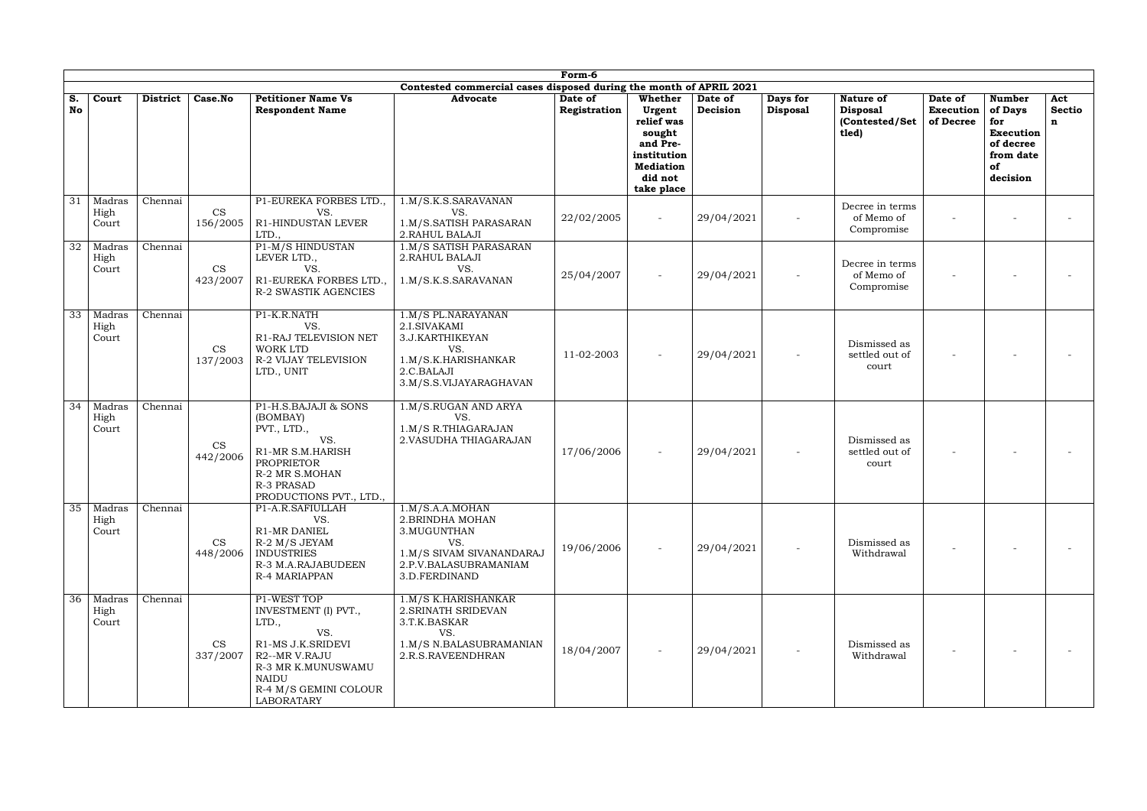|          |                                         |                 |                                        |                                                                                                                                                                               |                                                                                                                                  | Form-6                  |                                                                                                                   |                     |                             |                                                         |                                          |                                                                                                 |                                     |
|----------|-----------------------------------------|-----------------|----------------------------------------|-------------------------------------------------------------------------------------------------------------------------------------------------------------------------------|----------------------------------------------------------------------------------------------------------------------------------|-------------------------|-------------------------------------------------------------------------------------------------------------------|---------------------|-----------------------------|---------------------------------------------------------|------------------------------------------|-------------------------------------------------------------------------------------------------|-------------------------------------|
| S.<br>No | Court                                   | <b>District</b> | Case.No                                | <b>Petitioner Name Vs</b><br><b>Respondent Name</b>                                                                                                                           | Contested commercial cases disposed during the month of APRIL 2021<br><b>Advocate</b>                                            | Date of<br>Registration | Whether<br>Urgent<br>relief was<br>sought<br>and Pre-<br>institution<br><b>Mediation</b><br>did not<br>take place | Date of<br>Decision | Days for<br><b>Disposal</b> | Nature of<br><b>Disposal</b><br>(Contested/Set<br>tled) | Date of<br><b>Execution</b><br>of Decree | <b>Number</b><br>of Days<br>for<br><b>Execution</b><br>of decree<br>from date<br>of<br>decision | Act<br><b>Sectio</b><br>$\mathbf n$ |
| 31       | Madras<br>High<br>Court                 | Chennai         | $\mathop{\rm CS}\nolimits$<br>156/2005 | P1-EUREKA FORBES LTD.,<br>VS.<br>R1-HINDUSTAN LEVER<br>LTD.,                                                                                                                  | 1.M/S.K.S.SARAVANAN<br>VS.<br>1.M/S.SATISH PARASARAN<br>2. RAHUL BALAJI                                                          | 22/02/2005              |                                                                                                                   | 29/04/2021          |                             | Decree in terms<br>of Memo of<br>Compromise             |                                          |                                                                                                 |                                     |
| 32       | Madras<br>High<br>Court                 | Chennai         | <b>CS</b><br>423/2007                  | P1-M/S HINDUSTAN<br>LEVER LTD.,<br>VS.<br>R1-EUREKA FORBES LTD.,<br><b>R-2 SWASTIK AGENCIES</b>                                                                               | 1.M/S SATISH PARASARAN<br>2. RAHUL BALAJI<br>VS.<br>1.M/S.K.S.SARAVANAN                                                          | 25/04/2007              |                                                                                                                   | 29/04/2021          |                             | Decree in terms<br>of Memo of<br>Compromise             |                                          |                                                                                                 |                                     |
| 33       | Madras<br>High<br>Court                 | Chennai         | <b>CS</b><br>137/2003                  | P1-K.R.NATH<br>VS.<br>R1-RAJ TELEVISION NET<br><b>WORK LTD</b><br><b>R-2 VIJAY TELEVISION</b><br>LTD., UNIT                                                                   | 1.M/S PL.NARAYANAN<br>2.I.SIVAKAMI<br>3.J.KARTHIKEYAN<br>VS.<br>1.M/S.K.HARISHANKAR<br>2.C.BALAJI<br>3.M/S.S.VIJAYARAGHAVAN      | 11-02-2003              |                                                                                                                   | 29/04/2021          |                             | Dismissed as<br>settled out of<br>court                 |                                          |                                                                                                 |                                     |
| 34       | Madras<br>High<br>Court                 | Chennai         | <b>CS</b><br>442/2006                  | P1-H.S.BAJAJI & SONS<br>(BOMBAY)<br>PVT., LTD.,<br>VS.<br>R1-MR S.M.HARISH<br><b>PROPRIETOR</b><br>R-2 MR S.MOHAN<br>R-3 PRASAD<br>PRODUCTIONS PVT., LTD.                     | 1.M/S.RUGAN AND ARYA<br>VS.<br>1.M/S R.THIAGARAJAN<br>2. VASUDHA THIAGARAJAN                                                     | 17/06/2006              | $\overline{\phantom{a}}$                                                                                          | 29/04/2021          |                             | Dismissed as<br>settled out of<br>court                 |                                          |                                                                                                 |                                     |
| 35       | Madras<br>High<br>Court                 | Chennai         | <b>CS</b><br>448/2006                  | P1-A.R.SAFIULLAH<br>VS.<br>R1-MR DANIEL<br>R-2 M/S JEYAM<br><b>INDUSTRIES</b><br>R-3 M.A.RAJABUDEEN<br>R-4 MARIAPPAN                                                          | 1.M/S.A.A.MOHAN<br>2. BRINDHA MOHAN<br>3. MUGUNTHAN<br>VS.<br>1.M/S SIVAM SIVANANDARAJ<br>2.P.V.BALASUBRAMANIAM<br>3.D.FERDINAND | 19/06/2006              |                                                                                                                   | 29/04/2021          |                             | Dismissed as<br>Withdrawal                              |                                          |                                                                                                 |                                     |
|          | $\overline{36}$ Madras<br>High<br>Court | Chennai         | <b>CS</b><br>337/2007                  | P1-WEST TOP<br>INVESTMENT (I) PVT.,<br>LTD.,<br>VS.<br>R1-MS J.K.SRIDEVI<br>R2--MR V.RAJU<br>R-3 MR K.MUNUSWAMU<br><b>NAIDU</b><br>R-4 M/S GEMINI COLOUR<br><b>LABORATARY</b> | 1.M/S K.HARISHANKAR<br>2. SRINATH SRIDEVAN<br>3.T.K.BASKAR<br>VS.<br>1.M/S N.BALASUBRAMANIAN<br>2.R.S.RAVEENDHRAN                | 18/04/2007              |                                                                                                                   | 29/04/2021          |                             | Dismissed as<br>Withdrawal                              |                                          |                                                                                                 |                                     |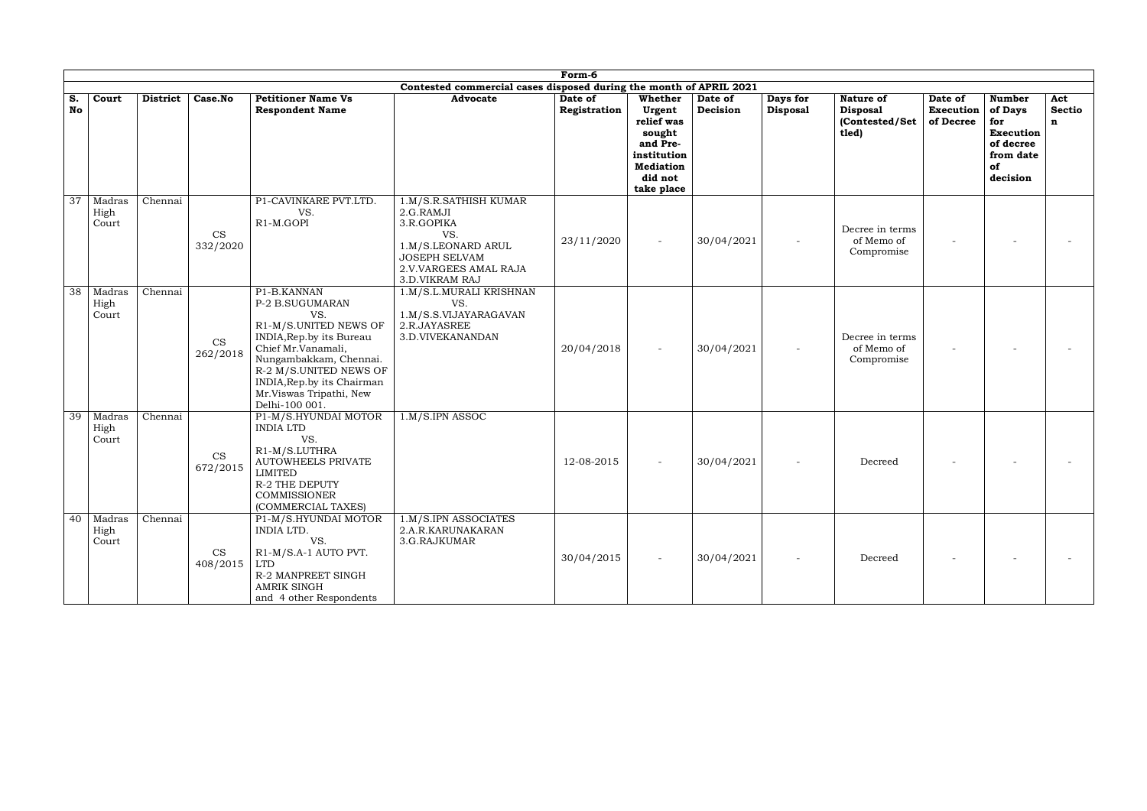|                 |                                         |                 |                       |                                                                                                                                                                                                                                                 |                                                                                                                                                  | Form-6                  |                                                                                                                   |                     |                             |                                                                |                                   |                                                                                                 |                           |
|-----------------|-----------------------------------------|-----------------|-----------------------|-------------------------------------------------------------------------------------------------------------------------------------------------------------------------------------------------------------------------------------------------|--------------------------------------------------------------------------------------------------------------------------------------------------|-------------------------|-------------------------------------------------------------------------------------------------------------------|---------------------|-----------------------------|----------------------------------------------------------------|-----------------------------------|-------------------------------------------------------------------------------------------------|---------------------------|
|                 |                                         |                 |                       |                                                                                                                                                                                                                                                 | Contested commercial cases disposed during the month of APRIL 2021                                                                               |                         |                                                                                                                   |                     |                             |                                                                |                                   |                                                                                                 |                           |
| S.<br><b>No</b> | Court                                   | <b>District</b> | Case.No               | <b>Petitioner Name Vs</b><br><b>Respondent Name</b>                                                                                                                                                                                             | <b>Advocate</b>                                                                                                                                  | Date of<br>Registration | Whether<br>Urgent<br>relief was<br>sought<br>and Pre-<br>institution<br><b>Mediation</b><br>did not<br>take place | Date of<br>Decision | Days for<br><b>Disposal</b> | <b>Nature of</b><br><b>Disposal</b><br>(Contested/Set<br>tled) | Date of<br>Execution<br>of Decree | <b>Number</b><br>of Days<br>for<br><b>Execution</b><br>of decree<br>from date<br>of<br>decision | Act<br><b>Sectio</b><br>n |
| 37              | Madras<br>High<br>Court                 | Chennai         | <b>CS</b><br>332/2020 | P1-CAVINKARE PVT.LTD.<br>VS.<br>R1-M.GOPI                                                                                                                                                                                                       | 1.M/S.R.SATHISH KUMAR<br>2.G.RAMJI<br>3.R.GOPIKA<br>VS.<br>1.M/S.LEONARD ARUL<br><b>JOSEPH SELVAM</b><br>2.V.VARGEES AMAL RAJA<br>3.D.VIKRAM RAJ | 23/11/2020              |                                                                                                                   | 30/04/2021          |                             | Decree in terms<br>of Memo of<br>Compromise                    |                                   |                                                                                                 |                           |
| 38              | Madras<br>High<br>Court                 | Chennai         | <b>CS</b><br>262/2018 | P1-B.KANNAN<br>P-2 B.SUGUMARAN<br>VS.<br>R1-M/S.UNITED NEWS OF<br>INDIA, Rep.by its Bureau<br>Chief Mr.Vanamali,<br>Nungambakkam, Chennai.<br>R-2 M/S.UNITED NEWS OF<br>INDIA, Rep.by its Chairman<br>Mr.Viswas Tripathi, New<br>Delhi-100 001. | 1.M/S.L.MURALI KRISHNAN<br>VS.<br>1.M/S.S.VIJAYARAGAVAN<br>2.R.JAYASREE<br>3.D.VIVEKANANDAN                                                      | 20/04/2018              | $\overline{\phantom{a}}$                                                                                          | 30/04/2021          |                             | Decree in terms<br>of Memo of<br>Compromise                    |                                   |                                                                                                 |                           |
| 39              | Madras<br>High<br>Court                 | Chennai         | <b>CS</b><br>672/2015 | P1-M/S.HYUNDAI MOTOR<br><b>INDIA LTD</b><br>VS.<br>R1-M/S.LUTHRA<br><b>AUTOWHEELS PRIVATE</b><br><b>LIMITED</b><br><b>R-2 THE DEPUTY</b><br><b>COMMISSIONER</b><br>(COMMERCIAL TAXES)                                                           | 1.M/S.IPN ASSOC                                                                                                                                  | 12-08-2015              |                                                                                                                   | 30/04/2021          |                             | Decreed                                                        |                                   |                                                                                                 |                           |
|                 | $\overline{40}$ Madras<br>High<br>Court | Chennai         | CS<br>408/2015        | P1-M/S.HYUNDAI MOTOR<br>INDIA LTD.<br>VS.<br>R1-M/S.A-1 AUTO PVT.<br>LTD<br>R-2 MANPREET SINGH<br><b>AMRIK SINGH</b><br>and 4 other Respondents                                                                                                 | 1.M/S.IPN ASSOCIATES<br>2.A.R.KARUNAKARAN<br>3.G.RAJKUMAR                                                                                        | 30/04/2015              |                                                                                                                   | 30/04/2021          |                             | Decreed                                                        |                                   |                                                                                                 |                           |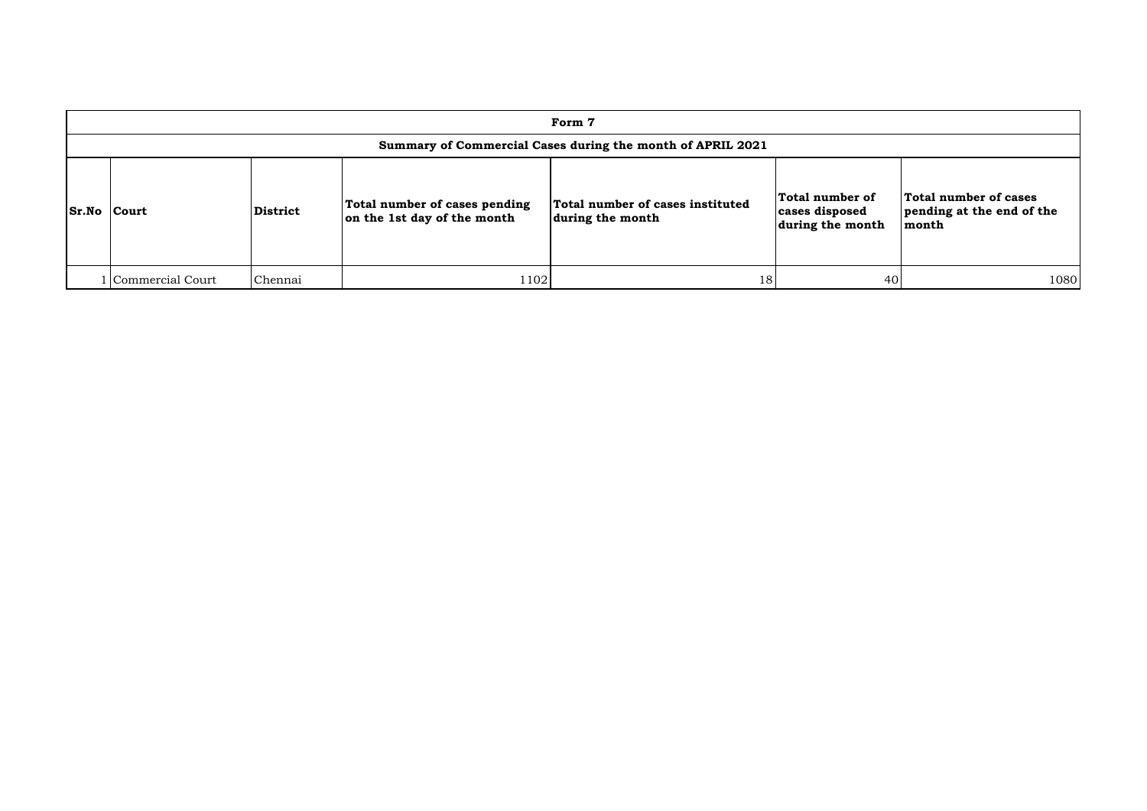| Form 7             |                                                            |                 |                                                              |                                                      |                                                       |                                                             |  |  |  |  |  |  |
|--------------------|------------------------------------------------------------|-----------------|--------------------------------------------------------------|------------------------------------------------------|-------------------------------------------------------|-------------------------------------------------------------|--|--|--|--|--|--|
|                    | Summary of Commercial Cases during the month of APRIL 2021 |                 |                                                              |                                                      |                                                       |                                                             |  |  |  |  |  |  |
| <b>Sr.No Court</b> |                                                            | <b>District</b> | Total number of cases pending<br>on the 1st day of the month | Total number of cases instituted<br>during the month | Total number of<br>cases disposed<br>during the month | Total number of cases<br>pending at the end of the<br>month |  |  |  |  |  |  |
|                    | 1 Commercial Court                                         | Chennai         | 1102                                                         | 18                                                   | 40                                                    | 1080                                                        |  |  |  |  |  |  |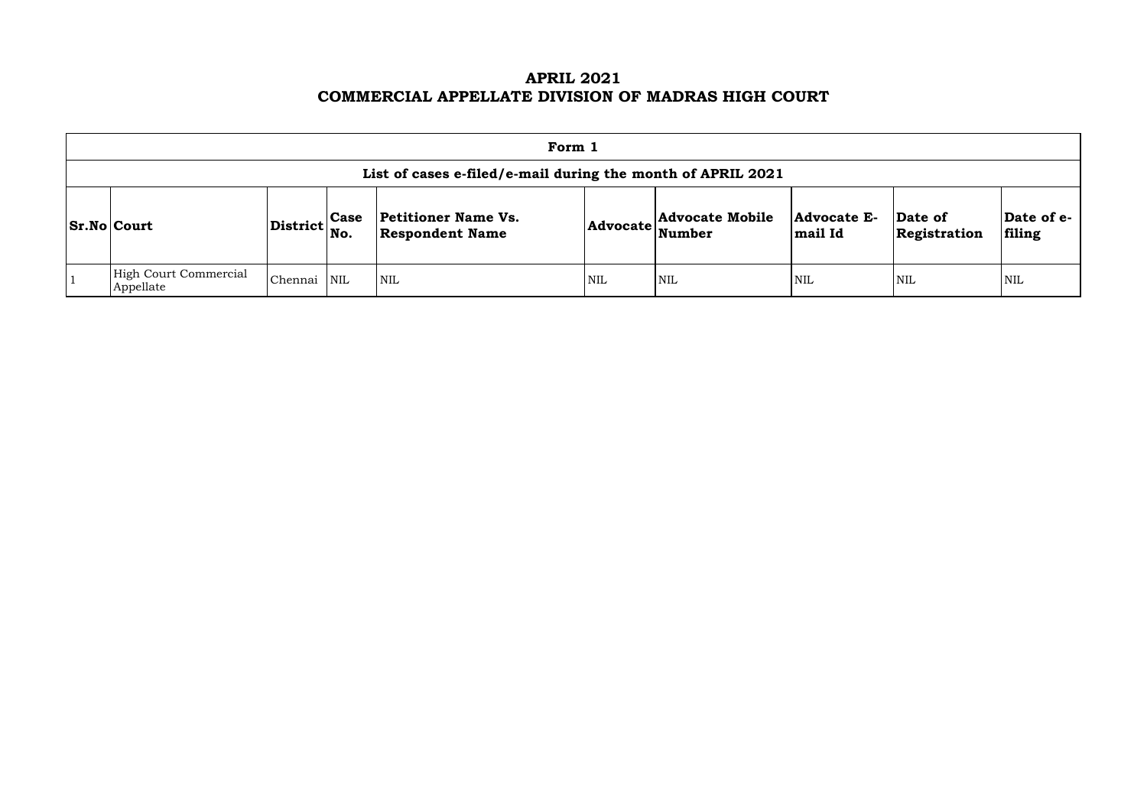# **APRIL 2021 COMMERCIAL APPELLATE DIVISION OF MADRAS HIGH COURT**

| Form 1                                                      |                                   |             |                                                      |            |                                  |                               |                         |                      |  |  |  |
|-------------------------------------------------------------|-----------------------------------|-------------|------------------------------------------------------|------------|----------------------------------|-------------------------------|-------------------------|----------------------|--|--|--|
| List of cases e-filed/e-mail during the month of APRIL 2021 |                                   |             |                                                      |            |                                  |                               |                         |                      |  |  |  |
| <b>Sr.No Court</b>                                          | $ {\rm District} {\rm \Big }$ No. | <b>Case</b> | <b>Petitioner Name Vs.</b><br><b>Respondent Name</b> | Advocate   | <b>Advocate Mobile</b><br>Number | <b>Advocate E-</b><br>mail Id | Date of<br>Registration | Date of e-<br>filing |  |  |  |
| High Court Commercial<br>Appellate                          | Chennai                           | NIL         | $\mathsf{I}_{\text{NIL}}$                            | <b>NIL</b> | <b>NIL</b>                       | <b>NIL</b>                    | <b>NIL</b>              | <b>NIL</b>           |  |  |  |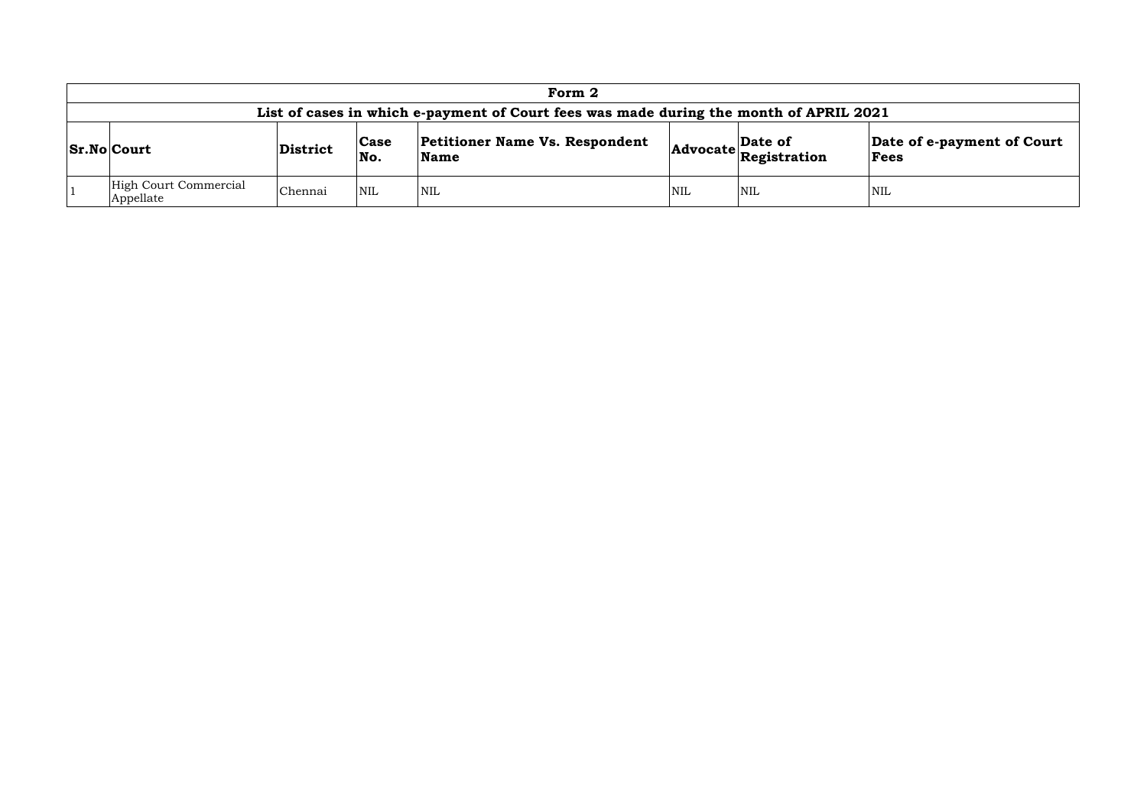|                 | Form 2                                                                                 |                                        |            |                                       |            |                                                                      |                                    |  |  |  |  |
|-----------------|----------------------------------------------------------------------------------------|----------------------------------------|------------|---------------------------------------|------------|----------------------------------------------------------------------|------------------------------------|--|--|--|--|
|                 | List of cases in which e-payment of Court fees was made during the month of APRIL 2021 |                                        |            |                                       |            |                                                                      |                                    |  |  |  |  |
| $ Sr.No $ Court |                                                                                        | Case<br>District<br>No.<br><b>Name</b> |            | <b>Petitioner Name Vs. Respondent</b> |            | Date of<br>$ {\bf Advocate}\left \overline{\bf Registration}\right $ | Date of e-payment of Court<br>Fees |  |  |  |  |
|                 | High Court Commercial<br>Appellate                                                     | Chennai                                | <b>NIL</b> | <b>NIL</b>                            | <b>NIL</b> | <b>NIL</b>                                                           | NIL                                |  |  |  |  |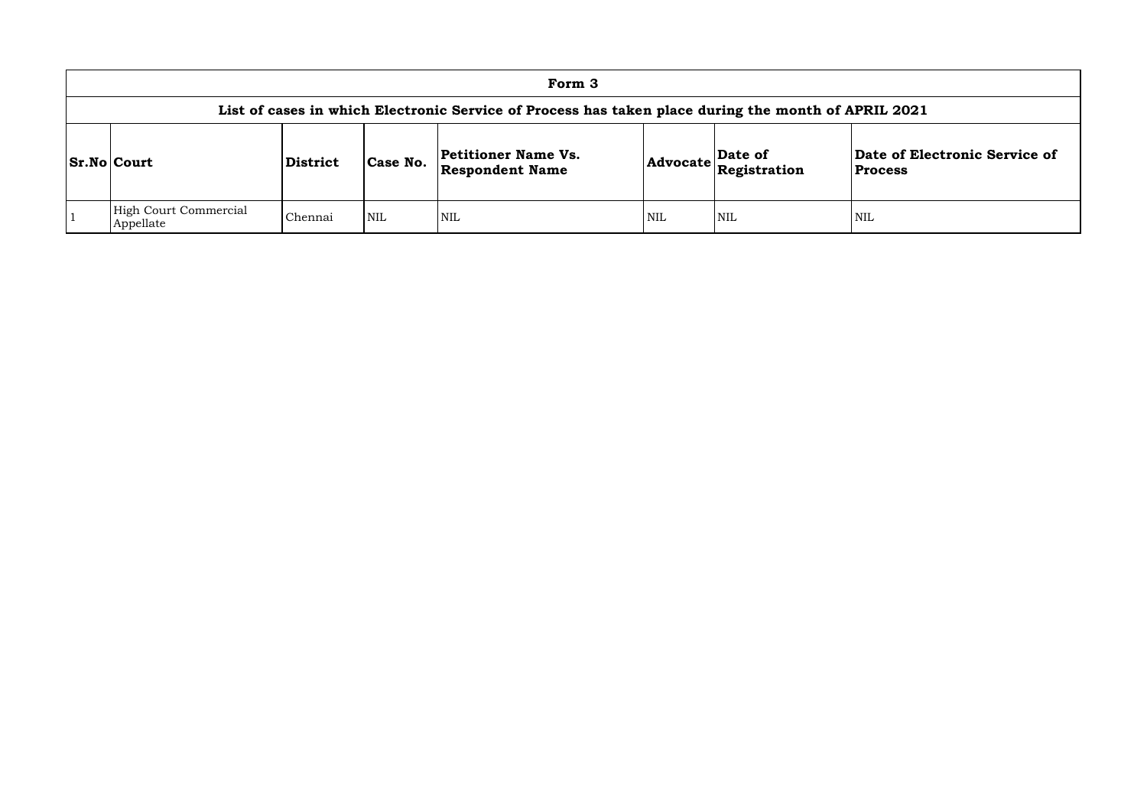|                                                                                                     |          |            | Form 3                                        |            |                         |                               |  |  |  |  |
|-----------------------------------------------------------------------------------------------------|----------|------------|-----------------------------------------------|------------|-------------------------|-------------------------------|--|--|--|--|
| List of cases in which Electronic Service of Process has taken place during the month of APRIL 2021 |          |            |                                               |            |                         |                               |  |  |  |  |
| <b>Sr.No Court</b>                                                                                  | District | Case No.   | Petitioner Name Vs.<br><b>Respondent Name</b> | Advocate   | Date of<br>Registration | Date of Ele<br><b>Process</b> |  |  |  |  |
| High Court Commercial<br>Appellate                                                                  | Chennai  | <b>NIL</b> | <b>NIL</b>                                    | <b>NIL</b> | <b>NIL</b>              | NIL                           |  |  |  |  |

# **Date of Electronic Service of Process**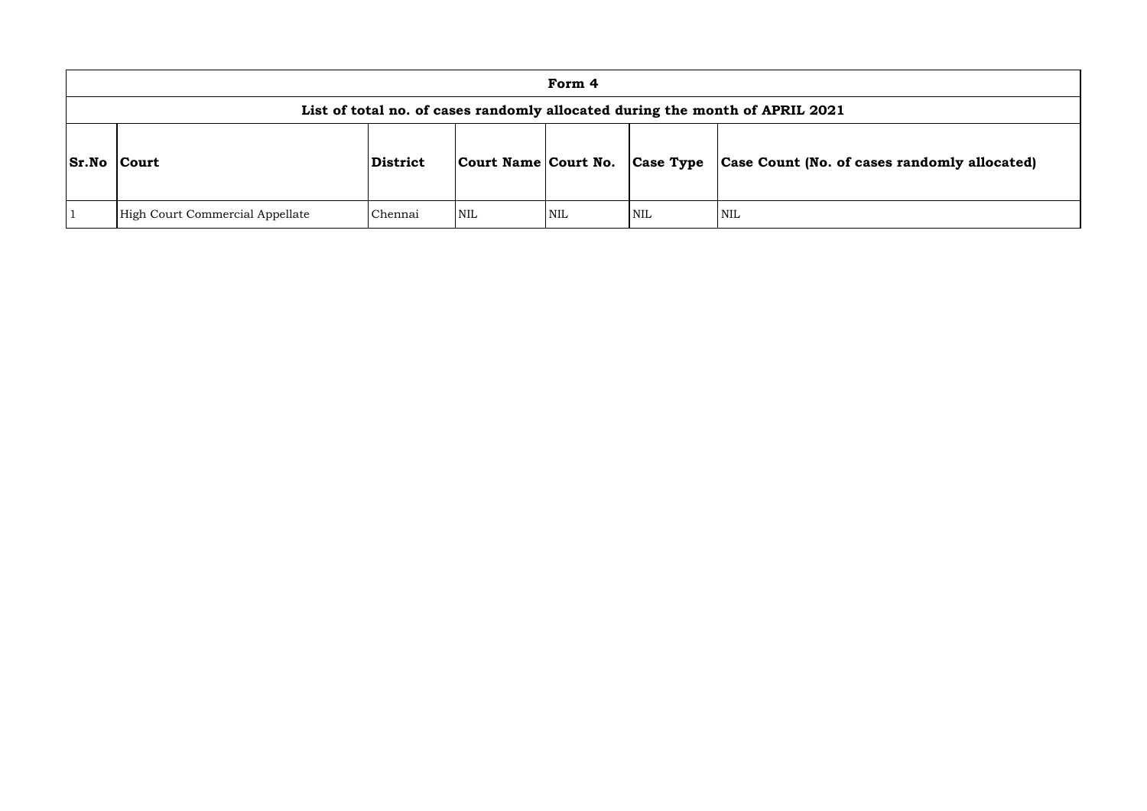|              |                                                                              |          |                                | Form 4 |            |                               |  |  |  |  |
|--------------|------------------------------------------------------------------------------|----------|--------------------------------|--------|------------|-------------------------------|--|--|--|--|
|              | List of total no. of cases randomly allocated during the month of APRIL 2021 |          |                                |        |            |                               |  |  |  |  |
| <b>Sr.No</b> | <b>Court</b>                                                                 | District | Court Name Court No. Case Type |        |            | <b>Case Count (No. of can</b> |  |  |  |  |
|              | High Court Commercial Appellate                                              | Chennai  | NIL                            | NIL    | <b>NIL</b> | <b>NIL</b>                    |  |  |  |  |

# **Sr.No Court District Court Name Court No. Case Type Case Count (No. of cases randomly allocated)**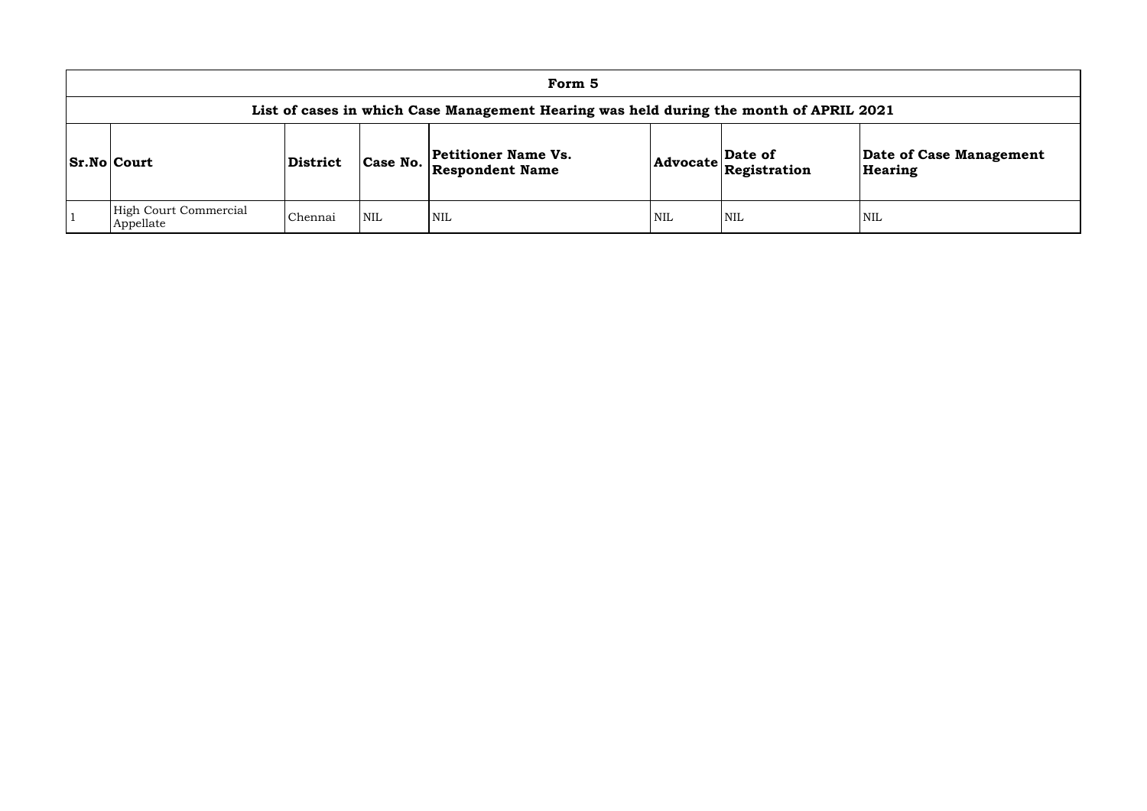|                                                                                        |                 |            | Form 5                                               |     |                                                                                                 |              |  |  |  |  |
|----------------------------------------------------------------------------------------|-----------------|------------|------------------------------------------------------|-----|-------------------------------------------------------------------------------------------------|--------------|--|--|--|--|
| List of cases in which Case Management Hearing was held during the month of APRIL 2021 |                 |            |                                                      |     |                                                                                                 |              |  |  |  |  |
| <b>Sr.No Court</b>                                                                     | <b>District</b> | Case No.   | <b>Petitioner Name Vs.</b><br><b>Respondent Name</b> |     | $\sqrt{\frac{5}{1}}$ Date of<br>$ {\bf Advocate} \overline{\bf \mathop{Registration}\nolimits}$ | Date<br>Hear |  |  |  |  |
| <b>High Court Commercial</b><br>Appellate                                              | Chennai         | <b>NIL</b> | NIL                                                  | NIL | NIL                                                                                             | NIL          |  |  |  |  |

## **Date of Case Management Hearing**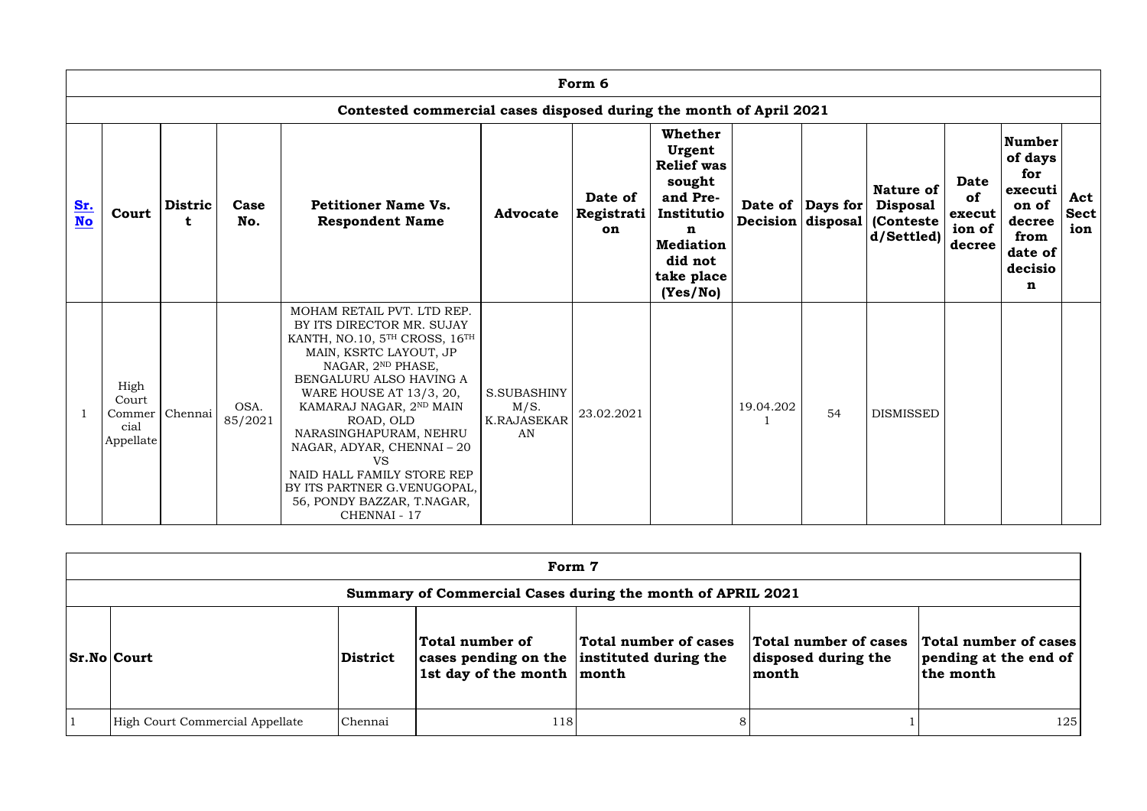|                         | Form 6                                                             |                     |                 |                                                                                                                                                                                                                                                                                                                                                                                                                     |                                                 |                             |                                                                                                                                                           |           |                                               |                                                                        |                                                 |                                                                                                  |                           |
|-------------------------|--------------------------------------------------------------------|---------------------|-----------------|---------------------------------------------------------------------------------------------------------------------------------------------------------------------------------------------------------------------------------------------------------------------------------------------------------------------------------------------------------------------------------------------------------------------|-------------------------------------------------|-----------------------------|-----------------------------------------------------------------------------------------------------------------------------------------------------------|-----------|-----------------------------------------------|------------------------------------------------------------------------|-------------------------------------------------|--------------------------------------------------------------------------------------------------|---------------------------|
|                         | Contested commercial cases disposed during the month of April 2021 |                     |                 |                                                                                                                                                                                                                                                                                                                                                                                                                     |                                                 |                             |                                                                                                                                                           |           |                                               |                                                                        |                                                 |                                                                                                  |                           |
| <u>Sr.</u><br><b>No</b> | Court                                                              | <b>Distric</b><br>t | Case<br>No.     | <b>Petitioner Name Vs.</b><br><b>Respondent Name</b>                                                                                                                                                                                                                                                                                                                                                                | <b>Advocate</b>                                 | Date of<br>Registrati<br>on | <b>Whether</b><br>Urgent<br><b>Relief was</b><br>sought<br>and Pre-<br>Institutio<br>$\mathbf n$<br><b>Mediation</b><br>did not<br>take place<br>(Yes/No) |           | Date of Days for<br>Decision $ $ disposal $ $ | <b>Nature of</b><br><b>Disposal</b><br><b>(Conteste)</b><br>d/Settled) | <b>Date</b><br>of<br>execut<br>ion of<br>decree | <b>Number</b><br>of days<br>for<br>executi<br>on of<br>decree<br>from<br>date of<br>decisio<br>n | Act<br><b>Sect</b><br>ion |
|                         | High<br>Court<br>Commer<br>cial<br>Appellate                       | Chennai             | OSA.<br>85/2021 | MOHAM RETAIL PVT. LTD REP.<br>BY ITS DIRECTOR MR. SUJAY<br>KANTH, NO.10, 5TH CROSS, 16TH<br>MAIN, KSRTC LAYOUT, JP<br>NAGAR, 2ND PHASE,<br>BENGALURU ALSO HAVING A<br>WARE HOUSE AT 13/3, 20,<br>KAMARAJ NAGAR, 2ND MAIN<br>ROAD, OLD<br>NARASINGHAPURAM, NEHRU<br>NAGAR, ADYAR, CHENNAI-20<br><b>VS</b><br>NAID HALL FAMILY STORE REP<br>BY ITS PARTNER G.VENUGOPAL,<br>56, PONDY BAZZAR, T.NAGAR,<br>CHENNAI - 17 | S.SUBASHINY<br>M/S.<br><b>K.RAJASEKAR</b><br>AN | 23.02.2021                  |                                                                                                                                                           | 19.04.202 | 54                                            | <b>DISMISSED</b>                                                       |                                                 |                                                                                                  |                           |

| Form 7                                                     |                 |                                                                                                 |                       |                                                       |                                                             |  |  |  |  |
|------------------------------------------------------------|-----------------|-------------------------------------------------------------------------------------------------|-----------------------|-------------------------------------------------------|-------------------------------------------------------------|--|--|--|--|
| Summary of Commercial Cases during the month of APRIL 2021 |                 |                                                                                                 |                       |                                                       |                                                             |  |  |  |  |
| <b>Sr.No Court</b>                                         | <b>District</b> | Total number of<br>cases pending on the instituted during the<br>1st day of the month $ $ month | Total number of cases | Total number of cases<br>disposed during the<br>month | Total number of cases<br>pending at the end of<br>the month |  |  |  |  |
| High Court Commercial Appellate                            | Chennai         | 118                                                                                             |                       |                                                       | 125                                                         |  |  |  |  |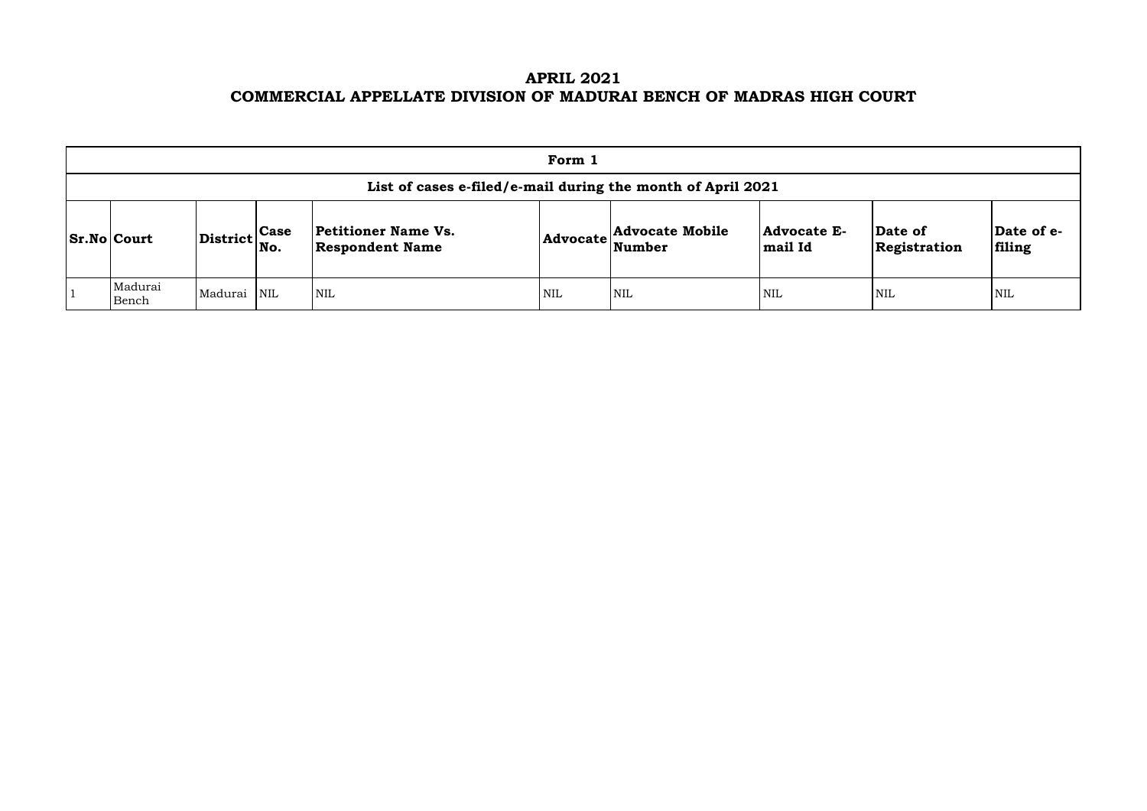# **APRIL 2021 COMMERCIAL APPELLATE DIVISION OF MADURAI BENCH OF MADRAS HIGH COURT**

| Form 1                                                      |                                                             |  |                                               |     |                                           |                                      |                         |                     |  |  |  |  |
|-------------------------------------------------------------|-------------------------------------------------------------|--|-----------------------------------------------|-----|-------------------------------------------|--------------------------------------|-------------------------|---------------------|--|--|--|--|
| List of cases e-filed/e-mail during the month of April 2021 |                                                             |  |                                               |     |                                           |                                      |                         |                     |  |  |  |  |
| $ Sr.No $ Court                                             | $\left  \text{District} \right _{\text{No.}}^{\text{Case}}$ |  | Petitioner Name Vs.<br><b>Respondent Name</b> |     | <b>Advocate Mobile</b><br>Advocate Number | <b>Advocate E-</b><br><b>mail Id</b> | Date of<br>Registration | $ {\bf Da}$<br>fili |  |  |  |  |
| Madurai<br>Bench                                            | Madurai NIL                                                 |  | <b>NIL</b>                                    | NIL | <b>NIL</b>                                | <b>NIL</b>                           | 'NIL                    | NIL                 |  |  |  |  |

| Date of<br>Registration | Date of e-<br>filing |
|-------------------------|----------------------|
| NIL                     | NH.                  |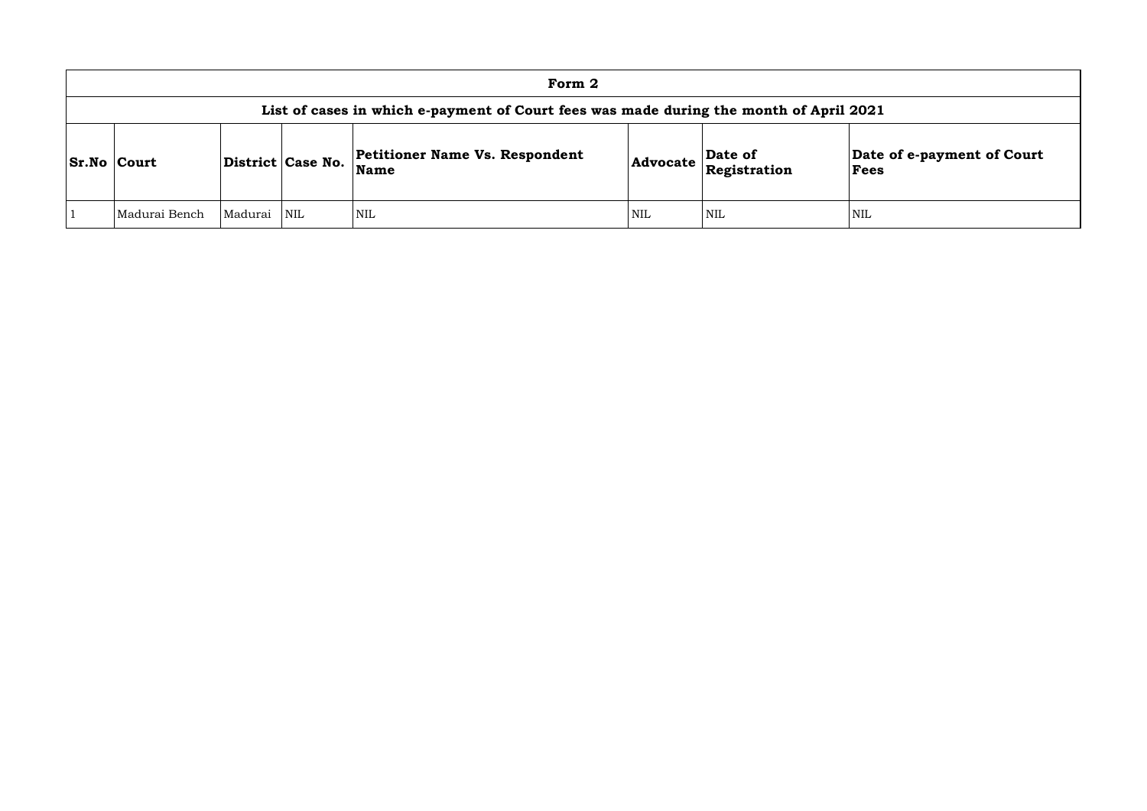| Form 2                                                                                 |         |                   |                                                      |                 |                         |                            |  |  |  |  |
|----------------------------------------------------------------------------------------|---------|-------------------|------------------------------------------------------|-----------------|-------------------------|----------------------------|--|--|--|--|
| List of cases in which e-payment of Court fees was made during the month of April 2021 |         |                   |                                                      |                 |                         |                            |  |  |  |  |
| <b>Sr.No Court</b>                                                                     |         | District Case No. | <b>Petitioner Name Vs. Respondent</b><br><b>Name</b> | <b>Advocate</b> | Date of<br>Registration | <b>Date</b><br><b>Fees</b> |  |  |  |  |
| Madurai Bench                                                                          | Madurai | <b>NIL</b>        | <b>NIL</b>                                           | <b>NIL</b>      | <b>NIL</b>              | <b>NIL</b>                 |  |  |  |  |

# **Date of e-payment of Court Fees**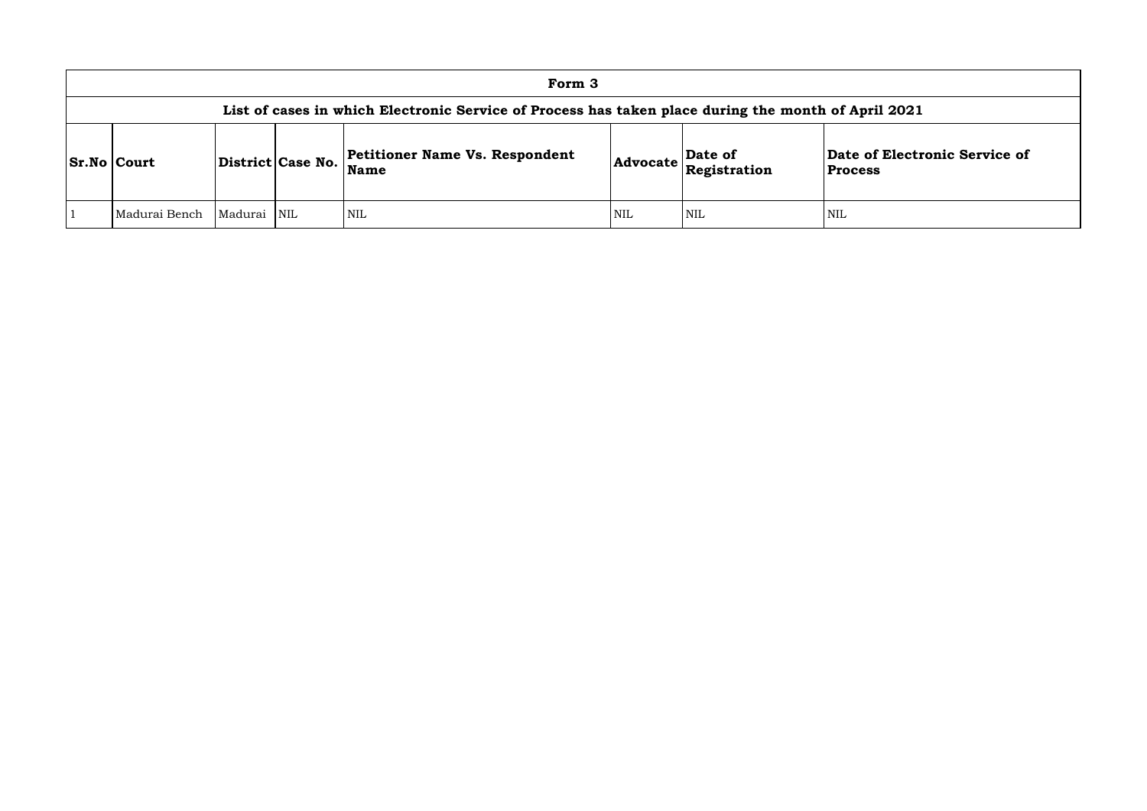## **of Electronic Service of Process**

| Form 3                                                                                              |             |                   |                                                      |            |                                                                             |                                  |  |  |  |  |  |
|-----------------------------------------------------------------------------------------------------|-------------|-------------------|------------------------------------------------------|------------|-----------------------------------------------------------------------------|----------------------------------|--|--|--|--|--|
| List of cases in which Electronic Service of Process has taken place during the month of April 2021 |             |                   |                                                      |            |                                                                             |                                  |  |  |  |  |  |
| <b>Sr.No   Court</b>                                                                                |             | District Case No. | <b>Petitioner Name Vs. Respondent</b><br><b>Name</b> |            | Date of<br>$ {\bf Advocate}\left \stackrel{\text{2.1.}}{\text{Res}}\right $ | Date of Electr<br><b>Process</b> |  |  |  |  |  |
| Madurai Bench                                                                                       | Madurai NIL |                   | <b>NIL</b>                                           | <b>NIL</b> | <b>NIL</b>                                                                  | <b>NIL</b>                       |  |  |  |  |  |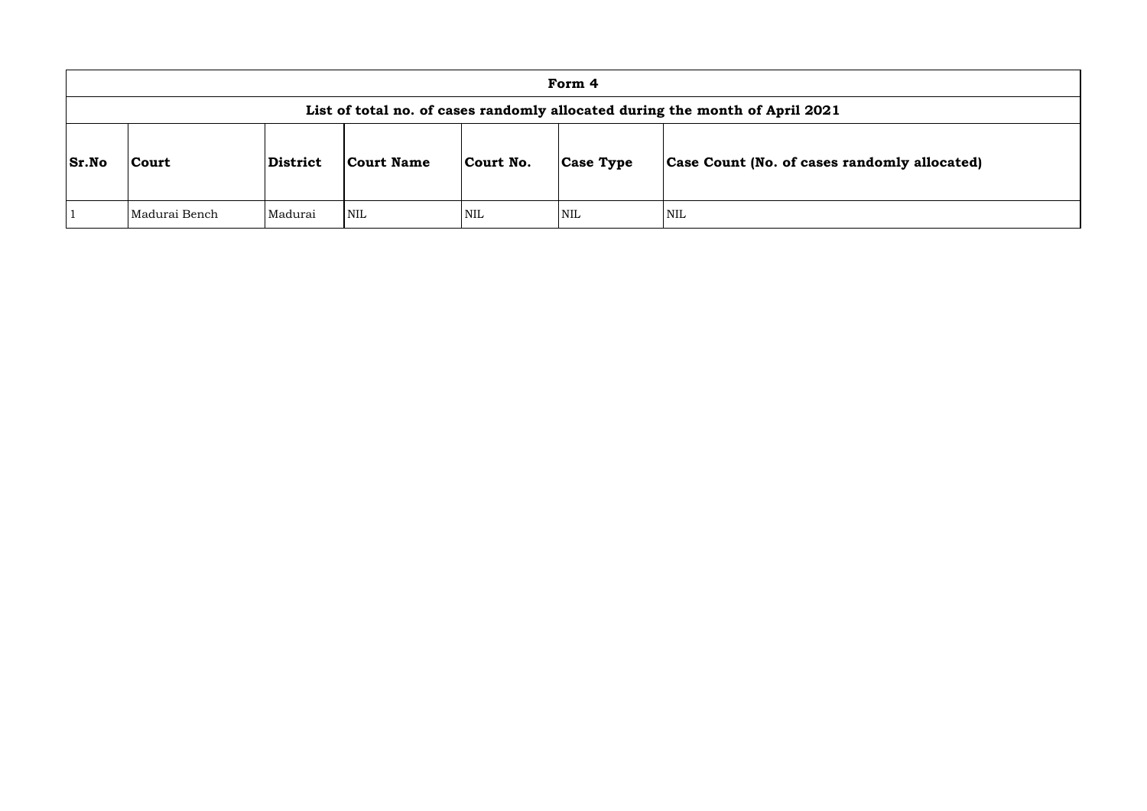|              | Form 4                                                                       |                |            |            |                  |                                      |  |  |  |  |  |  |
|--------------|------------------------------------------------------------------------------|----------------|------------|------------|------------------|--------------------------------------|--|--|--|--|--|--|
|              | List of total no. of cases randomly allocated during the month of April 2021 |                |            |            |                  |                                      |  |  |  |  |  |  |
| <b>Sr.No</b> | Court                                                                        | District       | Court Name | Court No.  | <b>Case Type</b> | <b>Case Count (No. of cases rand</b> |  |  |  |  |  |  |
|              | Madurai Bench                                                                | <b>Madurai</b> | <b>NIL</b> | <b>NIL</b> | <b>NIL</b>       | NIL                                  |  |  |  |  |  |  |

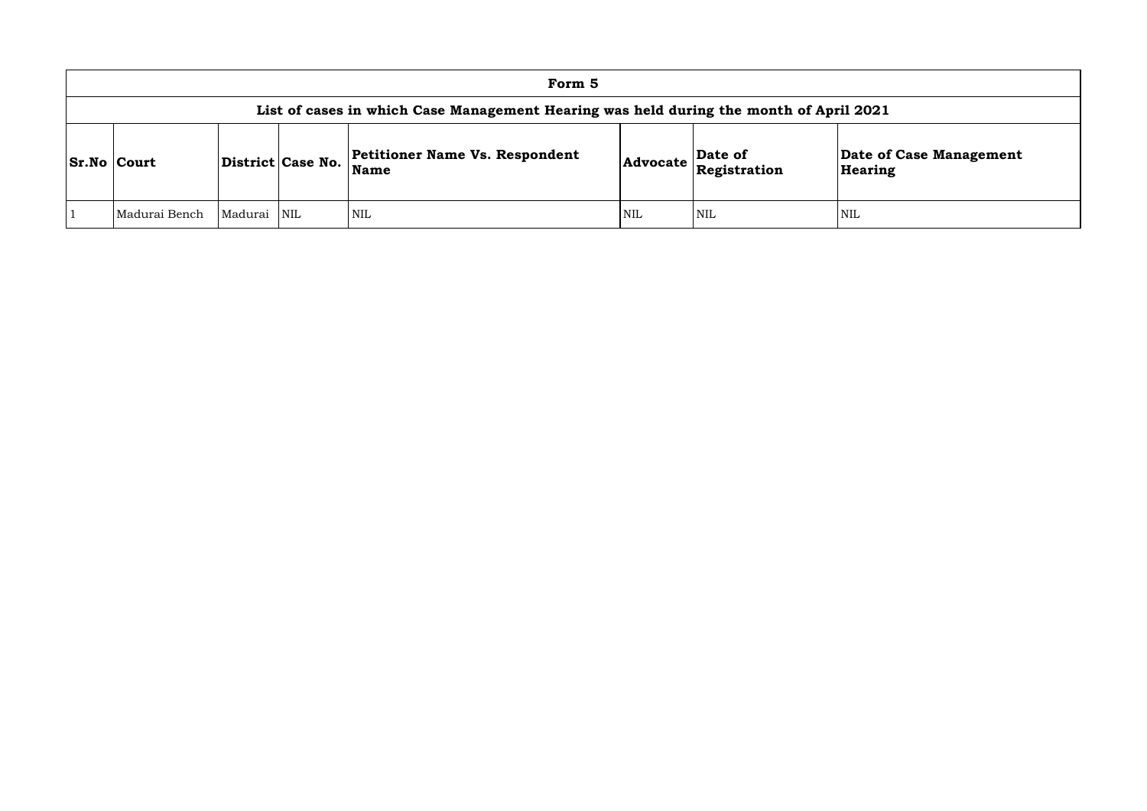|                                                                                        |         |                         | Form 5                                        |            |                                                                                                      |                    |  |  |  |  |
|----------------------------------------------------------------------------------------|---------|-------------------------|-----------------------------------------------|------------|------------------------------------------------------------------------------------------------------|--------------------|--|--|--|--|
| List of cases in which Case Management Hearing was held during the month of April 2021 |         |                         |                                               |            |                                                                                                      |                    |  |  |  |  |
| <b>Sr.No Court</b>                                                                     |         | District Case No.       | <b>Petitioner Name Vs. Respondent</b><br>Name |            | $\left $ Advocate $\left  \begin{matrix} \text{Date of} \\ \text{Resistration} \end{matrix} \right $ | Date of<br>Hearing |  |  |  |  |
| Madurai Bench                                                                          | Madurai | $\overline{\text{NIL}}$ | NIL                                           | <b>NIL</b> | <b>NIL</b>                                                                                           | <b>NIL</b>         |  |  |  |  |

# **e of Case Management** ring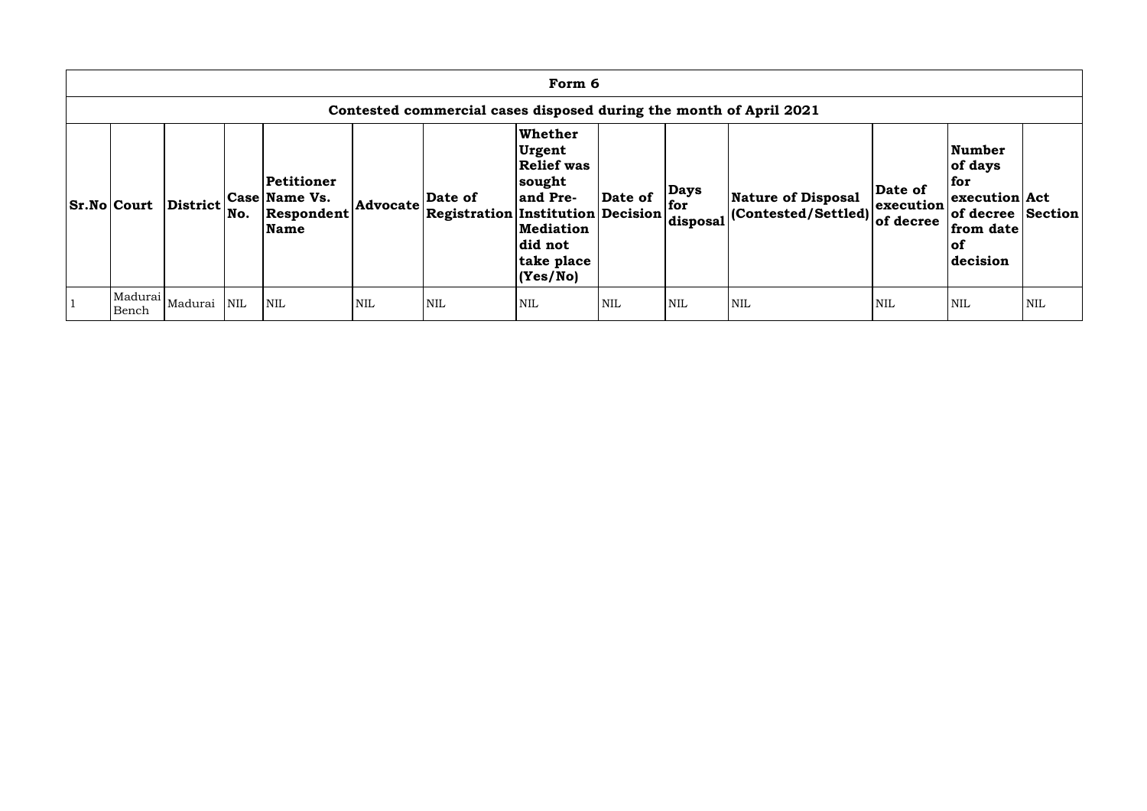|                                                                    | Form 6             |                             |            |                                                          |            |                                                     |                                                                                                                                       |            |                                |                                                   |                                   |                                                                                                          |     |
|--------------------------------------------------------------------|--------------------|-----------------------------|------------|----------------------------------------------------------|------------|-----------------------------------------------------|---------------------------------------------------------------------------------------------------------------------------------------|------------|--------------------------------|---------------------------------------------------|-----------------------------------|----------------------------------------------------------------------------------------------------------|-----|
| Contested commercial cases disposed during the month of April 2021 |                    |                             |            |                                                          |            |                                                     |                                                                                                                                       |            |                                |                                                   |                                   |                                                                                                          |     |
|                                                                    | <b>Sr.No Court</b> | <b>District</b>             | No.        | Petitioner<br><b>Case Name Vs.</b><br>Respondent<br>Name | Advocate   | Date of<br><b>Registration Institution Decision</b> | <b>Whether</b><br><b>Urgent</b><br><b>Relief was</b><br> sought<br>and Pre-<br><b>Mediation</b><br>did not<br>take place<br> (Yes/No) | Date of    | <b>Days</b><br>for<br>disposal | Nature of Disposal<br>$ $ (Contested/Settled) $ $ | Date of<br>execution<br>of decree | <b>Number</b><br>of days<br>for<br>execution Act<br>of decree Section<br>from date<br>$ $ of<br>decision |     |
|                                                                    | Bench              | Madurai  <sub>Madurai</sub> | <b>NIL</b> | <b>NIL</b>                                               | <b>NIL</b> | <b>NIL</b>                                          | <b>NIL</b>                                                                                                                            | <b>NIL</b> | <b>NIL</b>                     | <b>NIL</b>                                        | <b>NIL</b>                        | <b>NIL</b>                                                                                               | NIL |